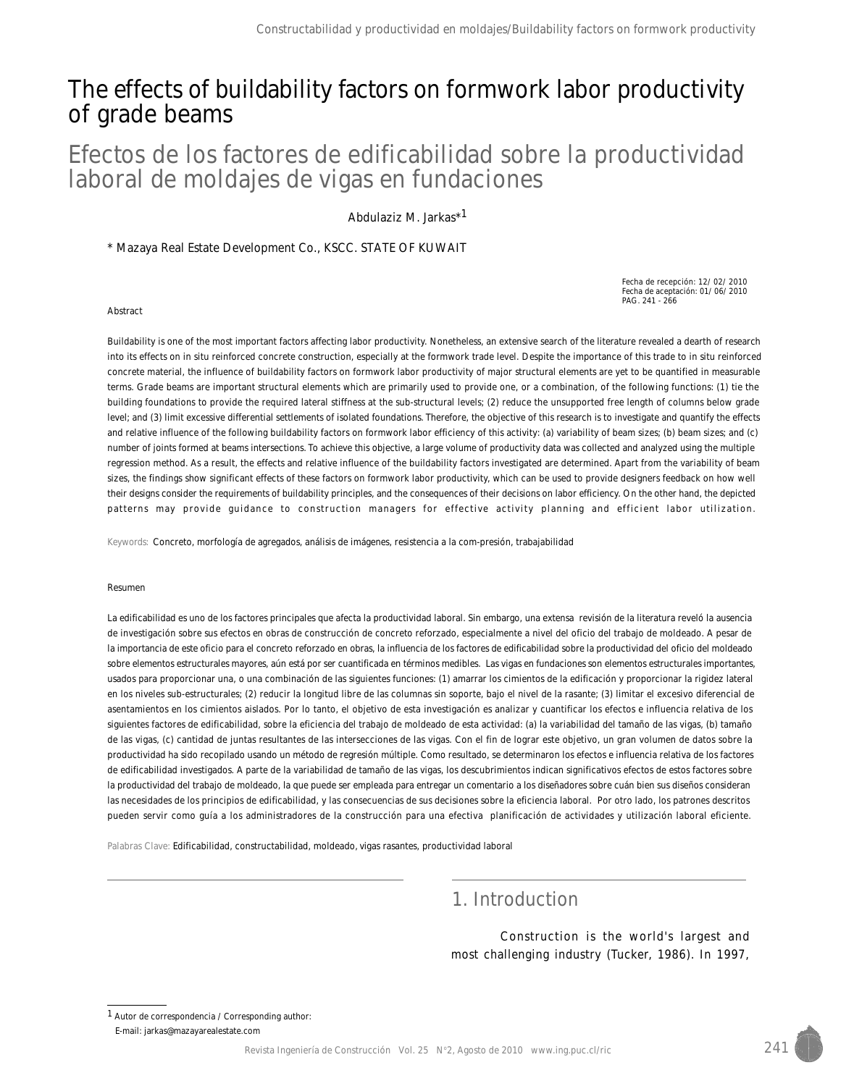# The effects of buildability factors on formwork labor productivity of grade beams

# Efectos de los factores de edificabilidad sobre la productividad laboral de moldajes de vigas en fundaciones

Abdulaziz M. Jarkas\*1

\* Mazaya Real Estate Development Co., KSCC. STATE OF KUWAIT

Fecha de recepción: 12/ 02/ 2010 Fecha de aceptación: 01/ 06/ 2010 PAG. 241 - 266

Abstract

Buildability is one of the most important factors affecting labor productivity. Nonetheless, an extensive search of the literature revealed a dearth of research into its effects on in situ reinforced concrete construction, especially at the formwork trade level. Despite the importance of this trade to in situ reinforced concrete material, the influence of buildability factors on formwork labor productivity of major structural elements are yet to be quantified in measurable terms. Grade beams are important structural elements which are primarily used to provide one, or a combination, of the following functions: (1) tie the building foundations to provide the required lateral stiffness at the sub-structural levels; (2) reduce the unsupported free length of columns below grade level; and (3) limit excessive differential settlements of isolated foundations. Therefore, the objective of this research is to investigate and quantify the effects and relative influence of the following buildability factors on formwork labor efficiency of this activity: (a) variability of beam sizes; (b) beam sizes; and (c) number of joints formed at beams intersections. To achieve this objective, a large volume of productivity data was collected and analyzed using the multiple regression method. As a result, the effects and relative influence of the buildability factors investigated are determined. Apart from the variability of beam sizes, the findings show significant effects of these factors on formwork labor productivity, which can be used to provide designers feedback on how well their designs consider the requirements of buildability principles, and the consequences of their decisions on labor efficiency. On the other hand, the depicted patterns may provide guidance to construction managers for effective activity planning and efficient labor utilization.

Keywords: Concreto, morfología de agregados, análisis de imágenes, resistencia a la com-presión, trabajabilidad

#### Resumen

La edificabilidad es uno de los factores principales que afecta la productividad laboral. Sin embargo, una extensa revisión de la literatura reveló la ausencia de investigación sobre sus efectos en obras de construcción de concreto reforzado, especialmente a nivel del oficio del trabajo de moldeado. A pesar de la importancia de este oficio para el concreto reforzado en obras, la influencia de los factores de edificabilidad sobre la productividad del oficio del moldeado sobre elementos estructurales mayores, aún está por ser cuantificada en términos medibles. Las vigas en fundaciones son elementos estructurales importantes, usados para proporcionar una, o una combinación de las siguientes funciones: (1) amarrar los cimientos de la edificación y proporcionar la rigidez lateral en los niveles sub-estructurales; (2) reducir la longitud libre de las columnas sin soporte, bajo el nivel de la rasante; (3) limitar el excesivo diferencial de asentamientos en los cimientos aislados. Por lo tanto, el objetivo de esta investigación es analizar y cuantificar los efectos e influencia relativa de los siguientes factores de edificabilidad, sobre la eficiencia del trabajo de moldeado de esta actividad: (a) la variabilidad del tamaño de las vigas, (b) tamaño de las vigas, (c) cantidad de juntas resultantes de las intersecciones de las vigas. Con el fin de lograr este objetivo, un gran volumen de datos sobre la productividad ha sido recopilado usando un método de regresión múltiple. Como resultado, se determinaron los efectos e influencia relativa de los factores de edificabilidad investigados. A parte de la variabilidad de tamaño de las vigas, los descubrimientos indican significativos efectos de estos factores sobre la productividad del trabajo de moldeado, la que puede ser empleada para entregar un comentario a los diseñadores sobre cuán bien sus diseños consideran las necesidades de los principios de edificabilidad, y las consecuencias de sus decisiones sobre la eficiencia laboral. Por otro lado, los patrones descritos pueden servir como guía a los administradores de la construcción para una efectiva planificación de actividades y utilización laboral eficiente.

Palabras Clave: Edificabilidad, constructabilidad, moldeado, vigas rasantes, productividad laboral

### 1. Introduction

Construction is the world's largest and most challenging industry (Tucker, 1986). In 1997,

 $\,$   $\,$  Autor de correspondencia  $\prime$  Corresponding author:

E-mail: jarkas@mazayarealestate.com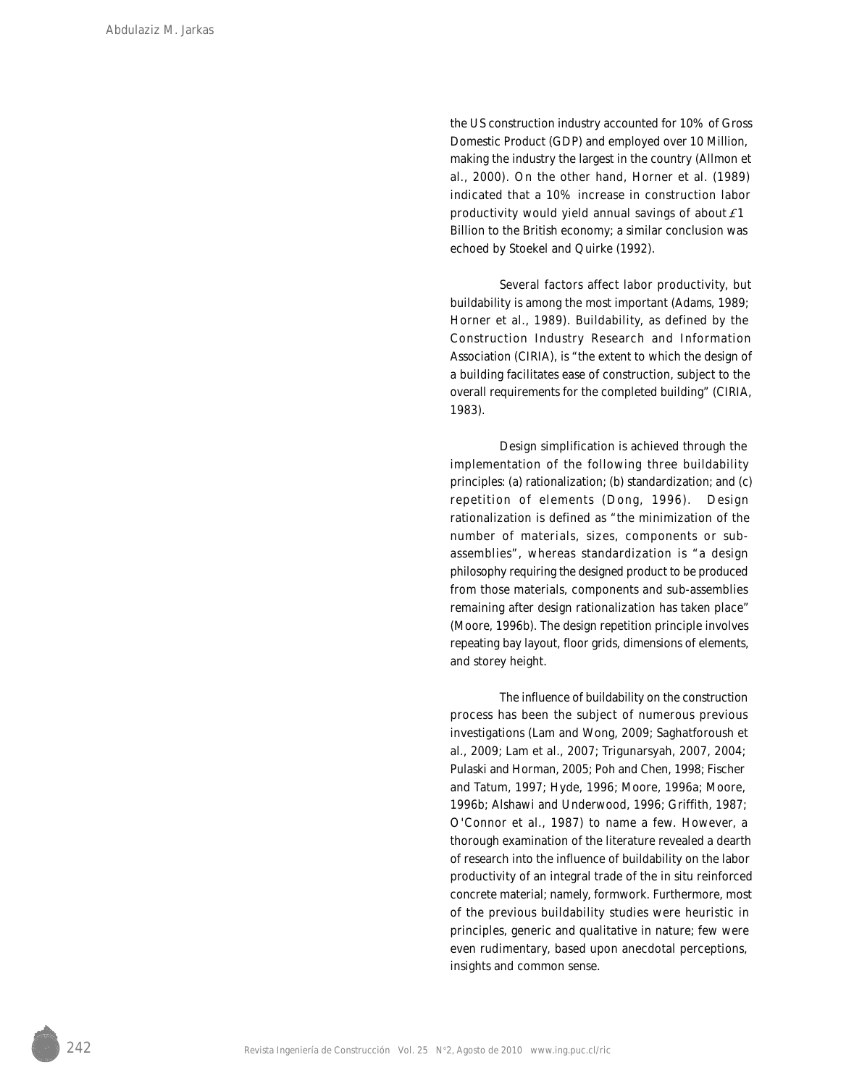the US construction industry accounted for 10% of Gross Domestic Product (GDP) and employed over 10 Million, making the industry the largest in the country (Allmon et al., 2000). On the other hand, Horner et al. (1989) indicated that a 10% increase in construction labor productivity would yield annual savings of about  $\angle 1$ Billion to the British economy; a similar conclusion was echoed by Stoekel and Quirke (1992).

Several factors affect labor productivity, but buildability is among the most important (Adams, 1989; Horner et al., 1989). Buildability, as defined by the Construction Industry Research and Information Association (CIRIA), is "the extent to which the design of a building facilitates ease of construction, subject to the overall requirements for the completed building" (CIRIA, 1983).

Design simplification is achieved through the implementation of the following three buildability principles: (a) rationalization; (b) standardization; and (c) repetition of elements (Dong, 1996). Design rationalization is defined as "the minimization of the number of materials, sizes, components or subassemblies", whereas standardization is "a design philosophy requiring the designed product to be produced from those materials, components and sub-assemblies remaining after design rationalization has taken place" (Moore, 1996b). The design repetition principle involves repeating bay layout, floor grids, dimensions of elements, and storey height.

The influence of buildability on the construction process has been the subject of numerous previous investigations (Lam and Wong, 2009; Saghatforoush et al., 2009; Lam et al., 2007; Trigunarsyah, 2007, 2004; Pulaski and Horman, 2005; Poh and Chen, 1998; Fischer and Tatum, 1997; Hyde, 1996; Moore, 1996a; Moore, 1996b; Alshawi and Underwood, 1996; Griffith, 1987; O'Connor et al., 1987) to name a few. However, a thorough examination of the literature revealed a dearth of research into the influence of buildability on the labor productivity of an integral trade of the in situ reinforced concrete material; namely, formwork. Furthermore, most of the previous buildability studies were heuristic in principles, generic and qualitative in nature; few were even rudimentary, based upon anecdotal perceptions, insights and common sense.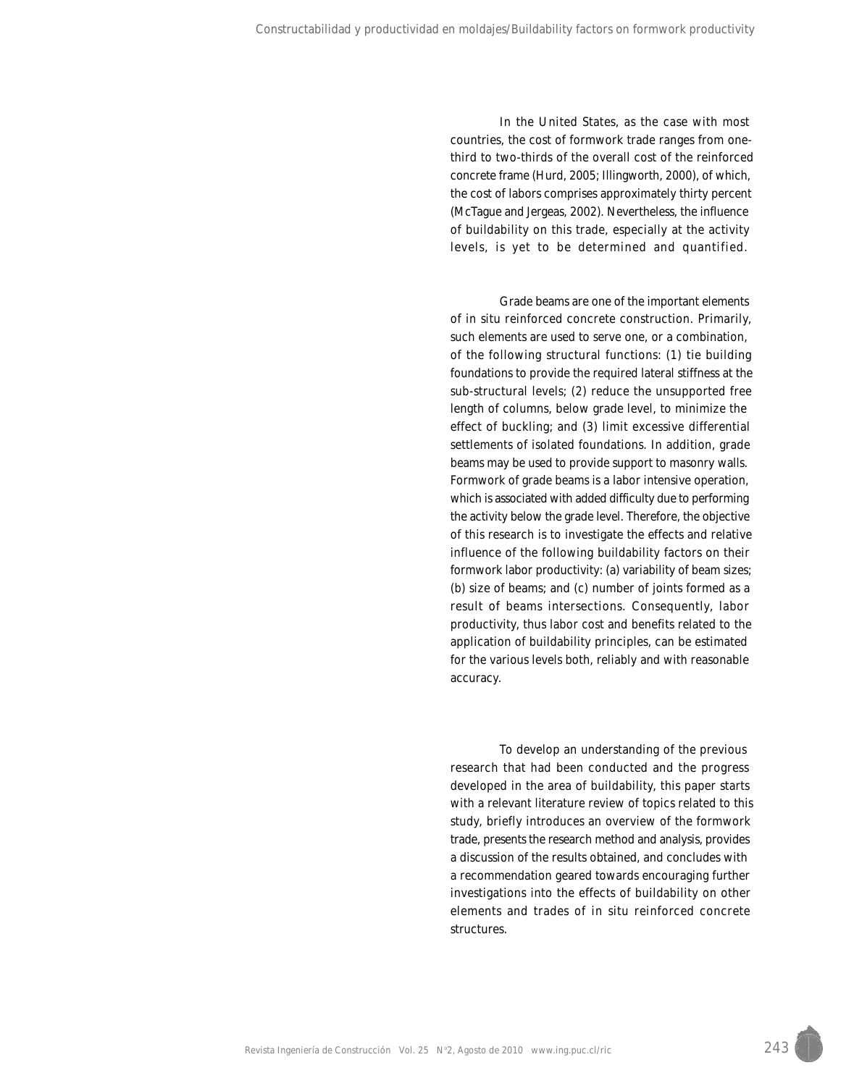In the United States, as the case with most countries, the cost of formwork trade ranges from onethird to two-thirds of the overall cost of the reinforced concrete frame (Hurd, 2005; Illingworth, 2000), of which, the cost of labors comprises approximately thirty percent (McTague and Jergeas, 2002). Nevertheless, the influence of buildability on this trade, especially at the activity levels, is yet to be determined and quantified.

Grade beams are one of the important elements of in situ reinforced concrete construction. Primarily, such elements are used to serve one, or a combination, of the following structural functions: (1) tie building foundations to provide the required lateral stiffness at the sub-structural levels; (2) reduce the unsupported free length of columns, below grade level, to minimize the effect of buckling; and (3) limit excessive differential settlements of isolated foundations. In addition, grade beams may be used to provide support to masonry walls. Formwork of grade beams is a labor intensive operation, which is associated with added difficulty due to performing the activity below the grade level. Therefore, the objective of this research is to investigate the effects and relative influence of the following buildability factors on their formwork labor productivity: (a) variability of beam sizes; (b) size of beams; and (c) number of joints formed as a result of beams intersections. Consequently, labor productivity, thus labor cost and benefits related to the application of buildability principles, can be estimated for the various levels both, reliably and with reasonable accuracy.

To develop an understanding of the previous research that had been conducted and the progress developed in the area of buildability, this paper starts with a relevant literature review of topics related to this study, briefly introduces an overview of the formwork trade, presents the research method and analysis, provides a discussion of the results obtained, and concludes with a recommendation geared towards encouraging further investigations into the effects of buildability on other elements and trades of in situ reinforced concrete structures.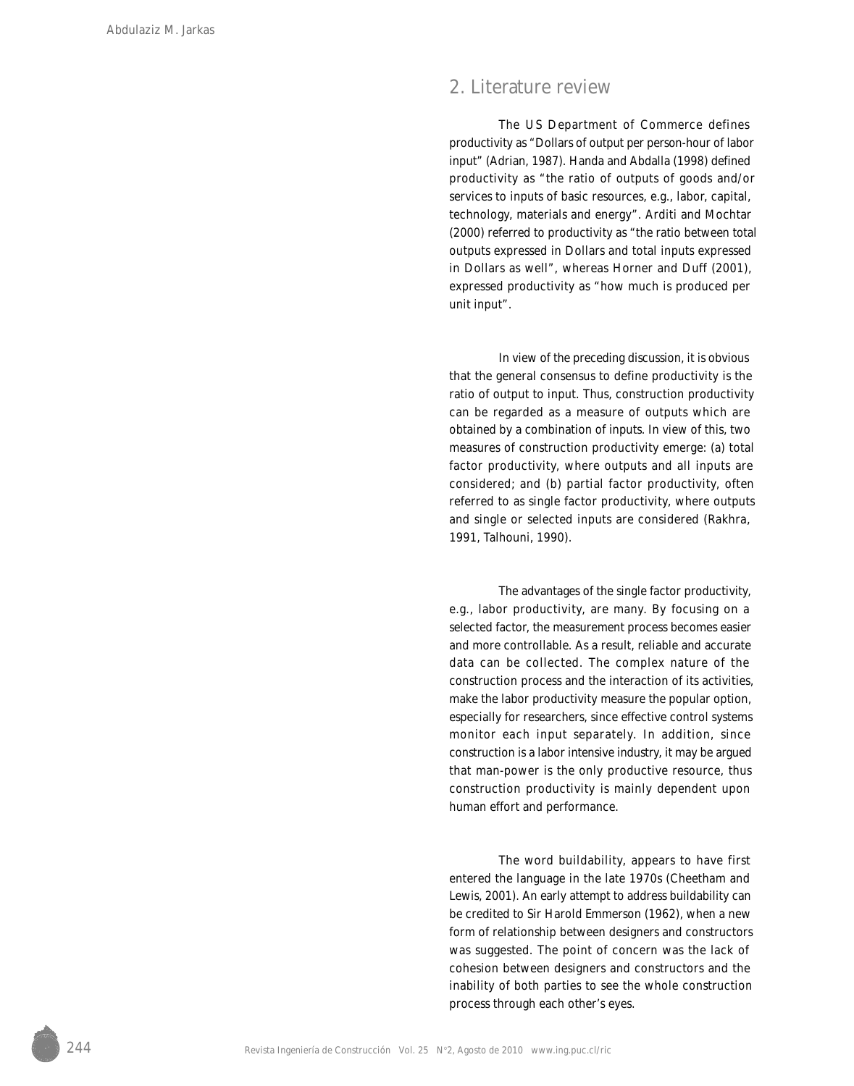#### 2. Literature review

The US Department of Commerce defines productivity as "Dollars of output per person-hour of labor input" (Adrian, 1987). Handa and Abdalla (1998) defined productivity as "the ratio of outputs of goods and/or services to inputs of basic resources, e.g., labor, capital, technology, materials and energy". Arditi and Mochtar (2000) referred to productivity as "the ratio between total outputs expressed in Dollars and total inputs expressed in Dollars as well", whereas Horner and Duff (2001), expressed productivity as "how much is produced per unit input".

In view of the preceding discussion, it is obvious that the general consensus to define productivity is the ratio of output to input. Thus, construction productivity can be regarded as a measure of outputs which are obtained by a combination of inputs. In view of this, two measures of construction productivity emerge: (a) total factor productivity, where outputs and all inputs are considered; and (b) partial factor productivity, often referred to as single factor productivity, where outputs and single or selected inputs are considered (Rakhra, 1991, Talhouni, 1990).

The advantages of the single factor productivity, e.g., labor productivity, are many. By focusing on a selected factor, the measurement process becomes easier and more controllable. As a result, reliable and accurate data can be collected. The complex nature of the construction process and the interaction of its activities, make the labor productivity measure the popular option, especially for researchers, since effective control systems monitor each input separately. In addition, since construction is a labor intensive industry, it may be argued that man-power is the only productive resource, thus construction productivity is mainly dependent upon human effort and performance.

The word buildability, appears to have first entered the language in the late 1970s (Cheetham and Lewis, 2001). An early attempt to address buildability can be credited to Sir Harold Emmerson (1962), when a new form of relationship between designers and constructors was suggested. The point of concern was the lack of cohesion between designers and constructors and the inability of both parties to see the whole construction process through each other's eyes.

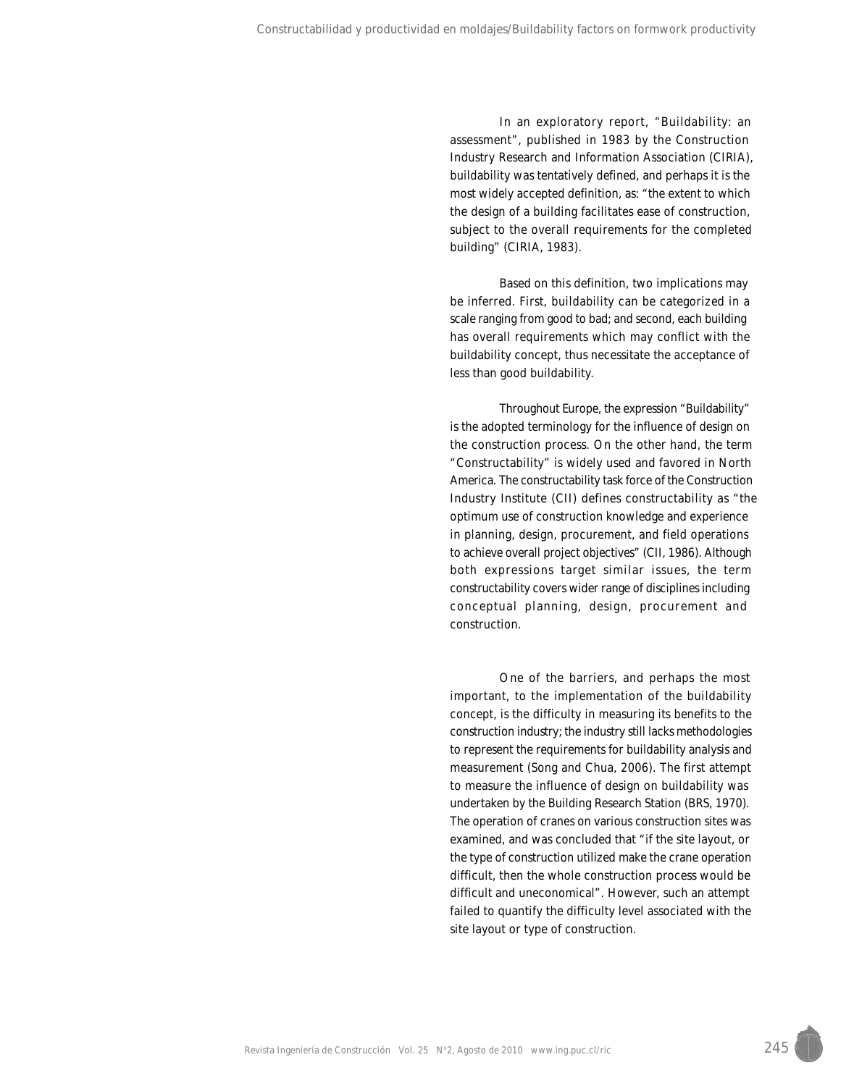In an exploratory report, "Buildability: an assessment", published in 1983 by the Construction Industry Research and Information Association (CIRIA), buildability was tentatively defined, and perhaps it is the most widely accepted definition, as: "the extent to which the design of a building facilitates ease of construction, subject to the overall requirements for the completed building" (CIRIA, 1983).

Based on this definition, two implications may be inferred. First, buildability can be categorized in a scale ranging from good to bad; and second, each building has overall requirements which may conflict with the buildability concept, thus necessitate the acceptance of less than good buildability.

Throughout Europe, the expression "Buildability" is the adopted terminology for the influence of design on the construction process. On the other hand, the term "Constructability" is widely used and favored in North America. The constructability task force of the Construction Industry Institute (CII) defines constructability as "the optimum use of construction knowledge and experience in planning, design, procurement, and field operations to achieve overall project objectives" (CII, 1986). Although both expressions target similar issues, the term constructability covers wider range of disciplines including conceptual planning, design, procurement and construction.

One of the barriers, and perhaps the most important, to the implementation of the buildability concept, is the difficulty in measuring its benefits to the construction industry; the industry still lacks methodologies to represent the requirements for buildability analysis and measurement (Song and Chua, 2006). The first attempt to measure the influence of design on buildability was undertaken by the Building Research Station (BRS, 1970). The operation of cranes on various construction sites was examined, and was concluded that "if the site layout, or the type of construction utilized make the crane operation difficult, then the whole construction process would be difficult and uneconomical". However, such an attempt failed to quantify the difficulty level associated with the site layout or type of construction.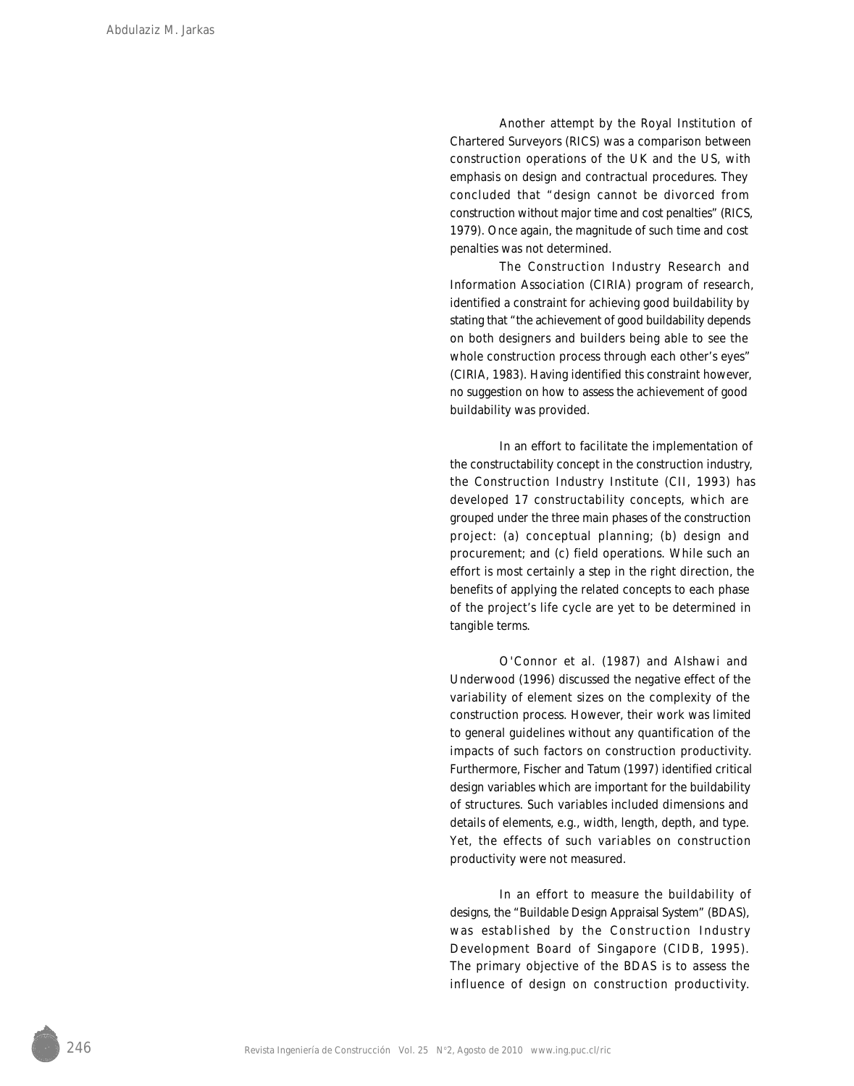Another attempt by the Royal Institution of Chartered Surveyors (RICS) was a comparison between construction operations of the UK and the US, with emphasis on design and contractual procedures. They concluded that "design cannot be divorced from construction without major time and cost penalties" (RICS, 1979). Once again, the magnitude of such time and cost penalties was not determined.

The Construction Industry Research and Information Association (CIRIA) program of research, identified a constraint for achieving good buildability by stating that "the achievement of good buildability depends on both designers and builders being able to see the whole construction process through each other's eyes" (CIRIA, 1983). Having identified this constraint however, no suggestion on how to assess the achievement of good buildability was provided.

In an effort to facilitate the implementation of the constructability concept in the construction industry, the Construction Industry Institute (CII, 1993) has developed 17 constructability concepts, which are grouped under the three main phases of the construction project: (a) conceptual planning; (b) design and procurement; and (c) field operations. While such an effort is most certainly a step in the right direction, the benefits of applying the related concepts to each phase of the project's life cycle are yet to be determined in tangible terms.

O'Connor et al. (1987) and Alshawi and Underwood (1996) discussed the negative effect of the variability of element sizes on the complexity of the construction process. However, their work was limited to general guidelines without any quantification of the impacts of such factors on construction productivity. Furthermore, Fischer and Tatum (1997) identified critical design variables which are important for the buildability of structures. Such variables included dimensions and details of elements, e.g., width, length, depth, and type. Yet, the effects of such variables on construction productivity were not measured.

In an effort to measure the buildability of designs, the "Buildable Design Appraisal System" (BDAS), was established by the Construction Industry Development Board of Singapore (CIDB, 1995). The primary objective of the BDAS is to assess the influence of design on construction productivity.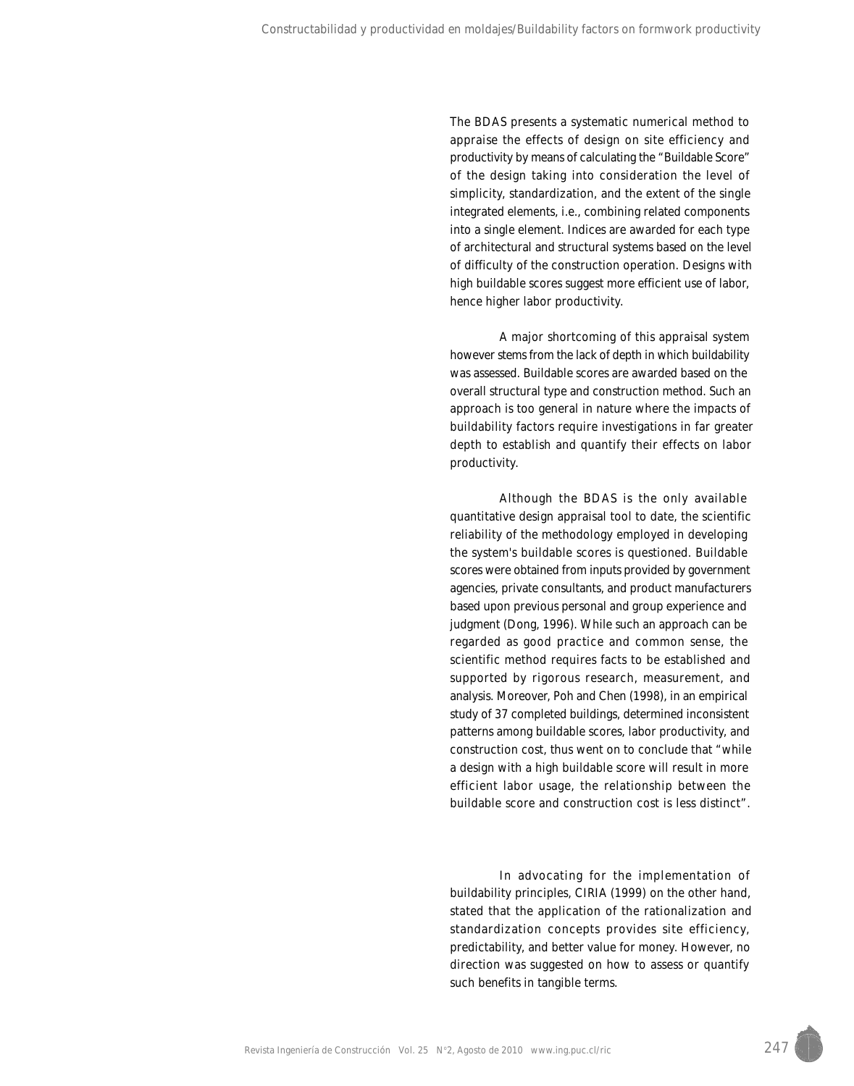The BDAS presents a systematic numerical method to appraise the effects of design on site efficiency and productivity by means of calculating the "Buildable Score" of the design taking into consideration the level of simplicity, standardization, and the extent of the single integrated elements, i.e., combining related components into a single element. Indices are awarded for each type of architectural and structural systems based on the level of difficulty of the construction operation. Designs with high buildable scores suggest more efficient use of labor, hence higher labor productivity.

A major shortcoming of this appraisal system however stems from the lack of depth in which buildability was assessed. Buildable scores are awarded based on the overall structural type and construction method. Such an approach is too general in nature where the impacts of buildability factors require investigations in far greater depth to establish and quantify their effects on labor productivity.

Although the BDAS is the only available quantitative design appraisal tool to date, the scientific reliability of the methodology employed in developing the system's buildable scores is questioned. Buildable scores were obtained from inputs provided by government agencies, private consultants, and product manufacturers based upon previous personal and group experience and judgment (Dong, 1996). While such an approach can be regarded as good practice and common sense, the scientific method requires facts to be established and supported by rigorous research, measurement, and analysis. Moreover, Poh and Chen (1998), in an empirical study of 37 completed buildings, determined inconsistent patterns among buildable scores, labor productivity, and construction cost, thus went on to conclude that "while a design with a high buildable score will result in more efficient labor usage, the relationship between the buildable score and construction cost is less distinct".

In advocating for the implementation of buildability principles, CIRIA (1999) on the other hand, stated that the application of the rationalization and standardization concepts provides site efficiency, predictability, and better value for money. However, no direction was suggested on how to assess or quantify such benefits in tangible terms.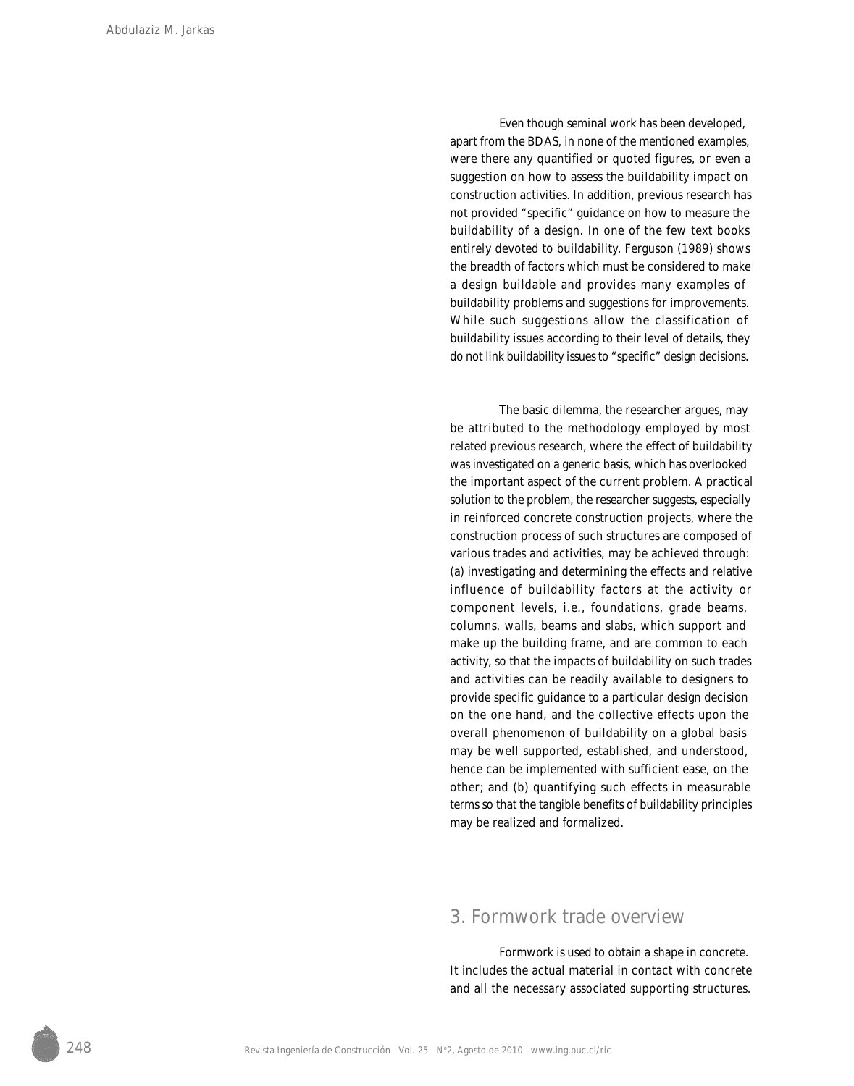Even though seminal work has been developed, apart from the BDAS, in none of the mentioned examples, were there any quantified or quoted figures, or even a suggestion on how to assess the buildability impact on construction activities. In addition, previous research has not provided "specific" guidance on how to measure the buildability of a design. In one of the few text books entirely devoted to buildability, Ferguson (1989) shows the breadth of factors which must be considered to make a design buildable and provides many examples of buildability problems and suggestions for improvements. While such suggestions allow the classification of buildability issues according to their level of details, they do not link buildability issues to "specific" design decisions.

The basic dilemma, the researcher argues, may be attributed to the methodology employed by most related previous research, where the effect of buildability was investigated on a generic basis, which has overlooked the important aspect of the current problem. A practical solution to the problem, the researcher suggests, especially in reinforced concrete construction projects, where the construction process of such structures are composed of various trades and activities, may be achieved through: (a) investigating and determining the effects and relative influence of buildability factors at the activity or component levels, i.e., foundations, grade beams, columns, walls, beams and slabs, which support and make up the building frame, and are common to each activity, so that the impacts of buildability on such trades and activities can be readily available to designers to provide specific guidance to a particular design decision on the one hand, and the collective effects upon the overall phenomenon of buildability on a global basis may be well supported, established, and understood, hence can be implemented with sufficient ease, on the other; and (b) quantifying such effects in measurable terms so that the tangible benefits of buildability principles may be realized and formalized.

### 3. Formwork trade overview

Formwork is used to obtain a shape in concrete. It includes the actual material in contact with concrete and all the necessary associated supporting structures.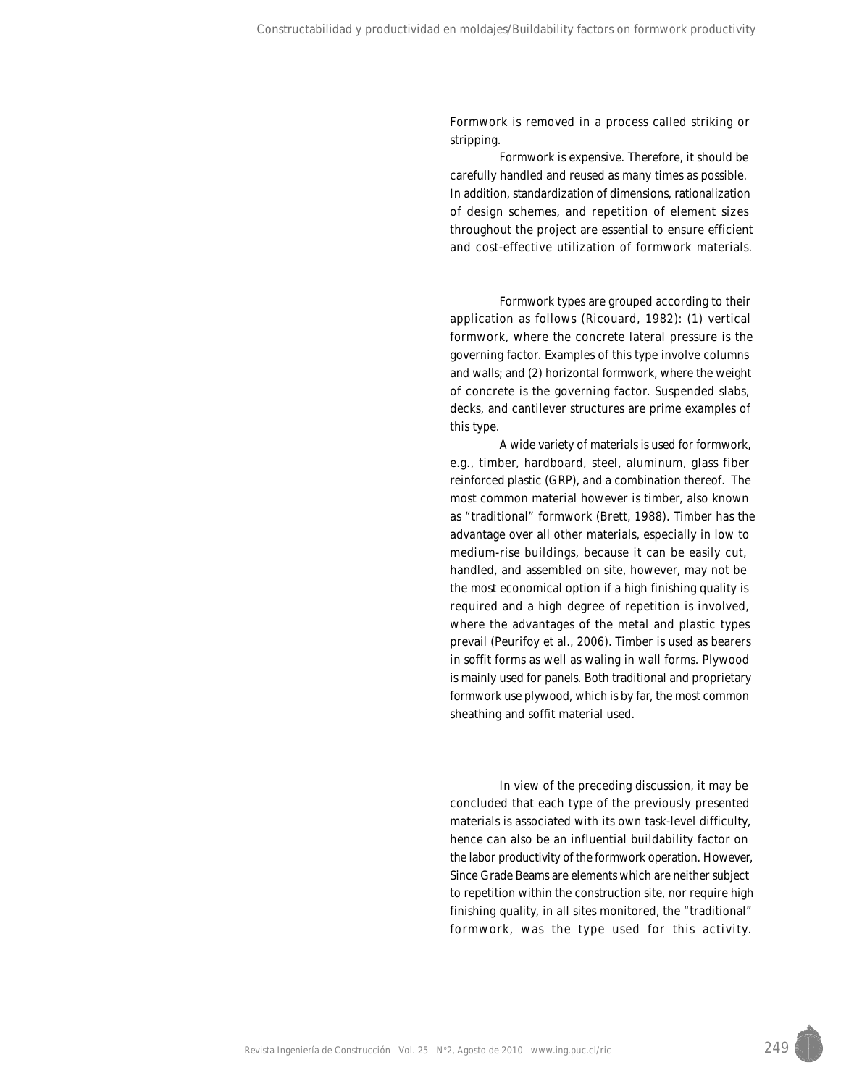Formwork is removed in a process called striking or stripping.

Formwork is expensive. Therefore, it should be carefully handled and reused as many times as possible. In addition, standardization of dimensions, rationalization of design schemes, and repetition of element sizes throughout the project are essential to ensure efficient and cost-effective utilization of formwork materials.

Formwork types are grouped according to their application as follows (Ricouard, 1982): (1) vertical formwork, where the concrete lateral pressure is the governing factor. Examples of this type involve columns and walls; and (2) horizontal formwork, where the weight of concrete is the governing factor. Suspended slabs, decks, and cantilever structures are prime examples of this type.

A wide variety of materials is used for formwork, e.g., timber, hardboard, steel, aluminum, glass fiber reinforced plastic (GRP), and a combination thereof. The most common material however is timber, also known as "traditional" formwork (Brett, 1988). Timber has the advantage over all other materials, especially in low to medium-rise buildings, because it can be easily cut, handled, and assembled on site, however, may not be the most economical option if a high finishing quality is required and a high degree of repetition is involved, where the advantages of the metal and plastic types prevail (Peurifoy et al., 2006). Timber is used as bearers in soffit forms as well as waling in wall forms. Plywood is mainly used for panels. Both traditional and proprietary formwork use plywood, which is by far, the most common sheathing and soffit material used.

In view of the preceding discussion, it may be concluded that each type of the previously presented materials is associated with its own task-level difficulty, hence can also be an influential buildability factor on the labor productivity of the formwork operation. However, Since Grade Beams are elements which are neither subject to repetition within the construction site, nor require high finishing quality, in all sites monitored, the "traditional" formwork, was the type used for this activity.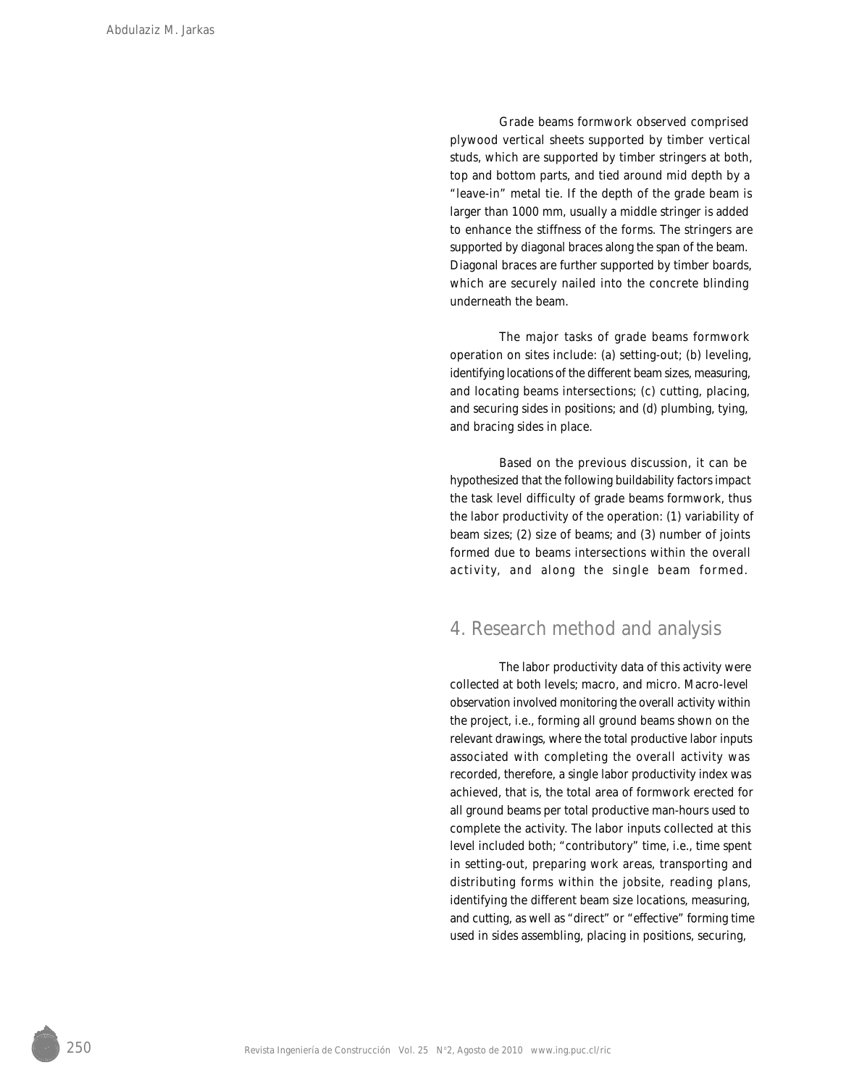Grade beams formwork observed comprised plywood vertical sheets supported by timber vertical studs, which are supported by timber stringers at both, top and bottom parts, and tied around mid depth by a "leave-in" metal tie. If the depth of the grade beam is larger than 1000 mm, usually a middle stringer is added to enhance the stiffness of the forms. The stringers are supported by diagonal braces along the span of the beam. Diagonal braces are further supported by timber boards, which are securely nailed into the concrete blinding underneath the beam.

The major tasks of grade beams formwork operation on sites include: (a) setting-out; (b) leveling, identifying locations of the different beam sizes, measuring, and locating beams intersections; (c) cutting, placing, and securing sides in positions; and (d) plumbing, tying, and bracing sides in place.

Based on the previous discussion, it can be hypothesized that the following buildability factors impact the task level difficulty of grade beams formwork, thus the labor productivity of the operation: (1) variability of beam sizes; (2) size of beams; and (3) number of joints formed due to beams intersections within the overall activity, and along the single beam formed.

## 4. Research method and analysis

The labor productivity data of this activity were collected at both levels; macro, and micro. Macro-level observation involved monitoring the overall activity within the project, i.e., forming all ground beams shown on the relevant drawings, where the total productive labor inputs associated with completing the overall activity was recorded, therefore, a single labor productivity index was achieved, that is, the total area of formwork erected for all ground beams per total productive man-hours used to complete the activity. The labor inputs collected at this level included both; "contributory" time, i.e., time spent in setting-out, preparing work areas, transporting and distributing forms within the jobsite, reading plans, identifying the different beam size locations, measuring, and cutting, as well as "direct" or "effective" forming time used in sides assembling, placing in positions, securing,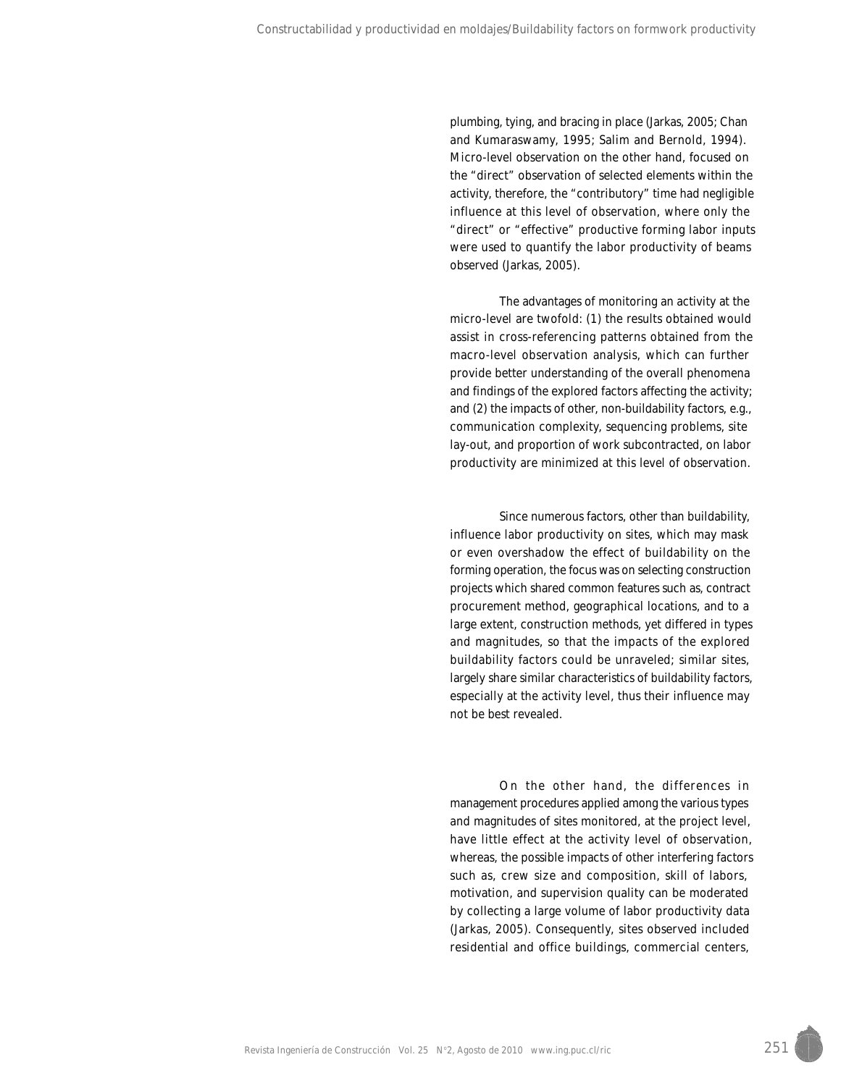plumbing, tying, and bracing in place (Jarkas, 2005; Chan and Kumaraswamy, 1995; Salim and Bernold, 1994). Micro-level observation on the other hand, focused on the "direct" observation of selected elements within the activity, therefore, the "contributory" time had negligible influence at this level of observation, where only the "direct" or "effective" productive forming labor inputs were used to quantify the labor productivity of beams observed (Jarkas, 2005).

The advantages of monitoring an activity at the micro-level are twofold: (1) the results obtained would assist in cross-referencing patterns obtained from the macro-level observation analysis, which can further provide better understanding of the overall phenomena and findings of the explored factors affecting the activity; and (2) the impacts of other, non-buildability factors, e.g., communication complexity, sequencing problems, site lay-out, and proportion of work subcontracted, on labor productivity are minimized at this level of observation.

Since numerous factors, other than buildability, influence labor productivity on sites, which may mask or even overshadow the effect of buildability on the forming operation, the focus was on selecting construction projects which shared common features such as, contract procurement method, geographical locations, and to a large extent, construction methods, yet differed in types and magnitudes, so that the impacts of the explored buildability factors could be unraveled; similar sites, largely share similar characteristics of buildability factors, especially at the activity level, thus their influence may not be best revealed.

On the other hand, the differences in management procedures applied among the various types and magnitudes of sites monitored, at the project level, have little effect at the activity level of observation, whereas, the possible impacts of other interfering factors such as, crew size and composition, skill of labors, motivation, and supervision quality can be moderated by collecting a large volume of labor productivity data (Jarkas, 2005). Consequently, sites observed included residential and office buildings, commercial centers,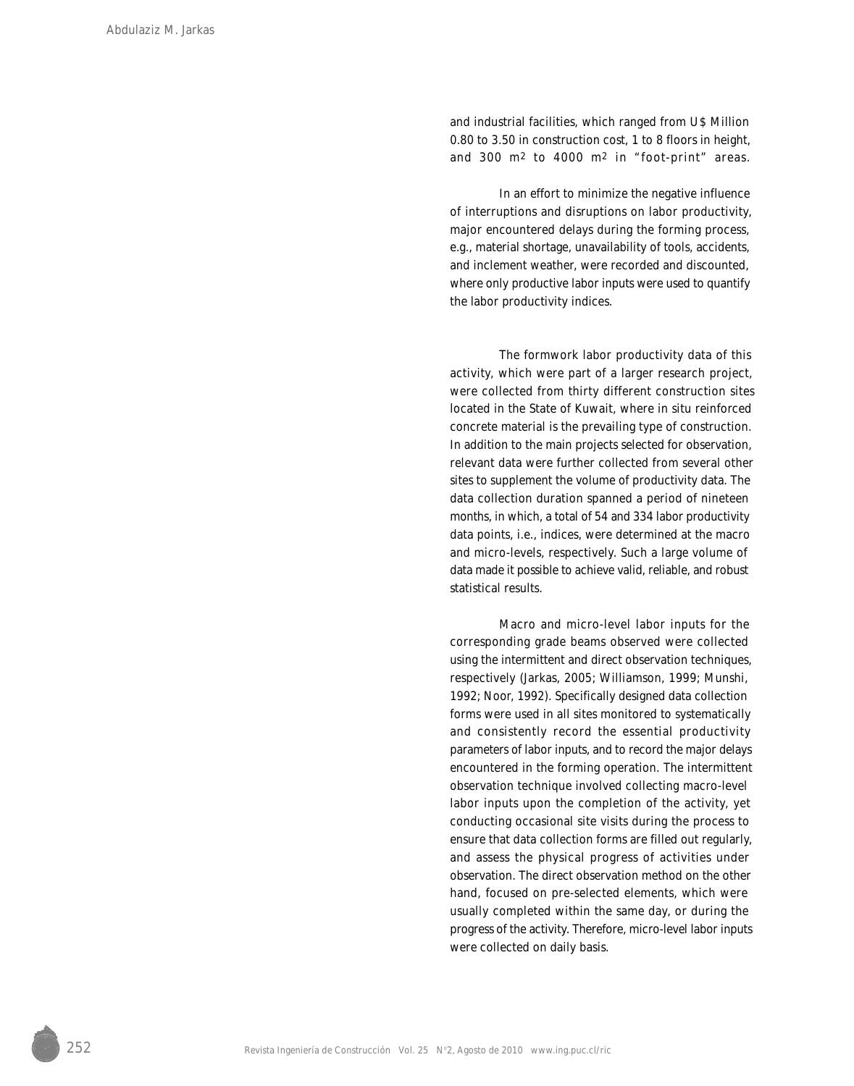and industrial facilities, which ranged from U\$ Million 0.80 to 3.50 in construction cost, 1 to 8 floors in height, and 300 m2 to 4000 m2 in "foot-print" areas.

In an effort to minimize the negative influence of interruptions and disruptions on labor productivity, major encountered delays during the forming process, e.g., material shortage, unavailability of tools, accidents, and inclement weather, were recorded and discounted, where only productive labor inputs were used to quantify the labor productivity indices.

The formwork labor productivity data of this activity, which were part of a larger research project, were collected from thirty different construction sites located in the State of Kuwait, where in situ reinforced concrete material is the prevailing type of construction. In addition to the main projects selected for observation, relevant data were further collected from several other sites to supplement the volume of productivity data. The data collection duration spanned a period of nineteen months, in which, a total of 54 and 334 labor productivity data points, i.e., indices, were determined at the macro and micro-levels, respectively. Such a large volume of data made it possible to achieve valid, reliable, and robust statistical results.

Macro and micro-level labor inputs for the corresponding grade beams observed were collected using the intermittent and direct observation techniques, respectively (Jarkas, 2005; Williamson, 1999; Munshi, 1992; Noor, 1992). Specifically designed data collection forms were used in all sites monitored to systematically and consistently record the essential productivity parameters of labor inputs, and to record the major delays encountered in the forming operation. The intermittent observation technique involved collecting macro-level labor inputs upon the completion of the activity, yet conducting occasional site visits during the process to ensure that data collection forms are filled out regularly, and assess the physical progress of activities under observation. The direct observation method on the other hand, focused on pre-selected elements, which were usually completed within the same day, or during the progress of the activity. Therefore, micro-level labor inputs were collected on daily basis.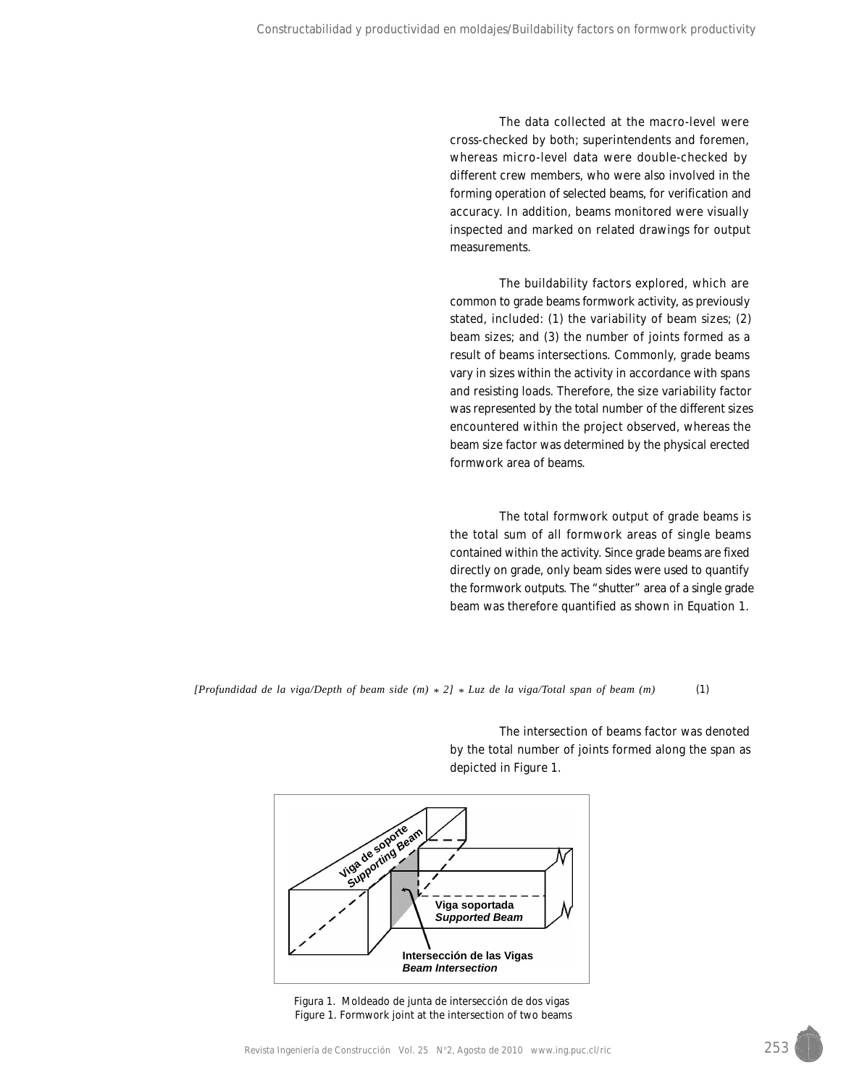The data collected at the macro-level were cross-checked by both; superintendents and foremen, whereas micro-level data were double-checked by different crew members, who were also involved in the forming operation of selected beams, for verification and accuracy. In addition, beams monitored were visually inspected and marked on related drawings for output measurements.

The buildability factors explored, which are common to grade beams formwork activity, as previously stated, included: (1) the variability of beam sizes; (2) beam sizes; and (3) the number of joints formed as a result of beams intersections. Commonly, grade beams vary in sizes within the activity in accordance with spans and resisting loads. Therefore, the size variability factor was represented by the total number of the different sizes encountered within the project observed, whereas the beam size factor was determined by the physical erected formwork area of beams.

The total formwork output of grade beams is the total sum of all formwork areas of single beams contained within the activity. Since grade beams are fixed directly on grade, only beam sides were used to quantify the formwork outputs. The "shutter" area of a single grade beam was therefore quantified as shown in Equation 1.

 *[Profundidad de la viga/Depth of beam side (m) \* 2] \* Luz de la viga/Total span of beam (m)* (1)



The intersection of beams factor was denoted by the total number of joints formed along the span as depicted in Figure 1.

Figura 1. Moldeado de junta de intersección de dos vigas Figure 1. Formwork joint at the intersection of two beams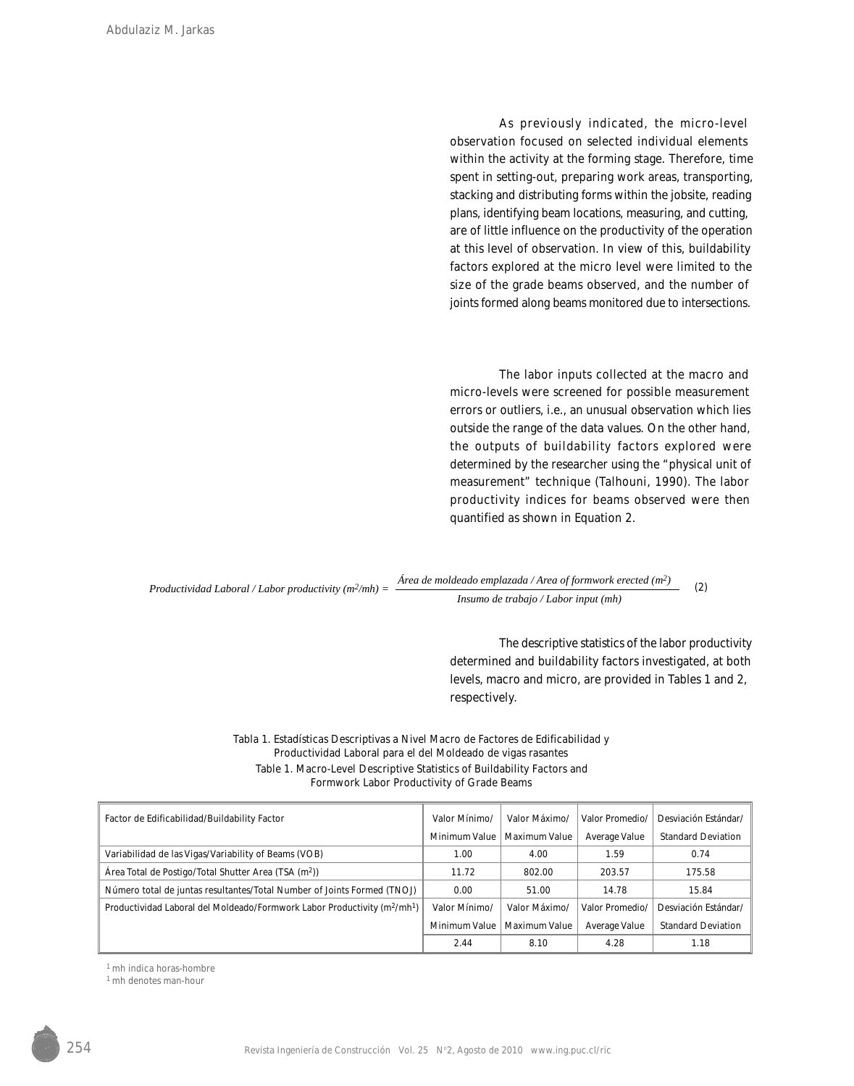As previously indicated, the micro-level observation focused on selected individual elements within the activity at the forming stage. Therefore, time spent in setting-out, preparing work areas, transporting, stacking and distributing forms within the jobsite, reading plans, identifying beam locations, measuring, and cutting, are of little influence on the productivity of the operation at this level of observation. In view of this, buildability factors explored at the micro level were limited to the size of the grade beams observed, and the number of joints formed along beams monitored due to intersections.

The labor inputs collected at the macro and micro-levels were screened for possible measurement errors or outliers, i.e., an unusual observation which lies outside the range of the data values. On the other hand, the outputs of buildability factors explored were determined by the researcher using the "physical unit of measurement" technique (Talhouni, 1990). The labor productivity indices for beams observed were then quantified as shown in Equation 2.

*Productividad Laboral / Labor productivity (m2/mh) = Área de moldeado emplazada / Area of formwork erected (m2) Insumo de trabajo / Labor input (mh)* (2)

> The descriptive statistics of the labor productivity determined and buildability factors investigated, at both levels, macro and micro, are provided in Tables 1 and 2, respectively.

#### Tabla 1. Estadísticas Descriptivas a Nivel Macro de Factores de Edificabilidad y Productividad Laboral para el del Moldeado de vigas rasantes Table 1. Macro-Level Descriptive Statistics of Buildability Factors and Formwork Labor Productivity of Grade Beams

| Factor de Edificabilidad/Buildability Factor                                                      | Valor Mínimo/ | Valor Máximo/ | Valor Promedio/ | Desviación Estándar/      |
|---------------------------------------------------------------------------------------------------|---------------|---------------|-----------------|---------------------------|
|                                                                                                   | Minimum Value | Maximum Value | Average Value   | <b>Standard Deviation</b> |
| Variabilidad de las Vigas/Variability of Beams (VOB)                                              | 1.00          | 4.00          | 1.59            | 0.74                      |
| Área Total de Postigo/Total Shutter Area (TSA (m <sup>2</sup> ))                                  | 11.72         | 802.00        | 203.57          | 175.58                    |
| Número total de juntas resultantes/Total Number of Joints Formed (TNOJ)                           | 0.00          | 51.00         | 14.78           | 15.84                     |
| Productividad Laboral del Moldeado/Formwork Labor Productivity (m <sup>2</sup> /mh <sup>1</sup> ) | Valor Mínimo/ | Valor Máximo/ | Valor Promedio/ | Desviación Estándar/      |
|                                                                                                   | Minimum Value | Maximum Value | Average Value   | <b>Standard Deviation</b> |
|                                                                                                   | 2.44          | 8.10          | 4.28            | 1.18                      |

<sup>1</sup>mh indica horas-hombre

 $^{\rm 1}$ mh denotes man-hour

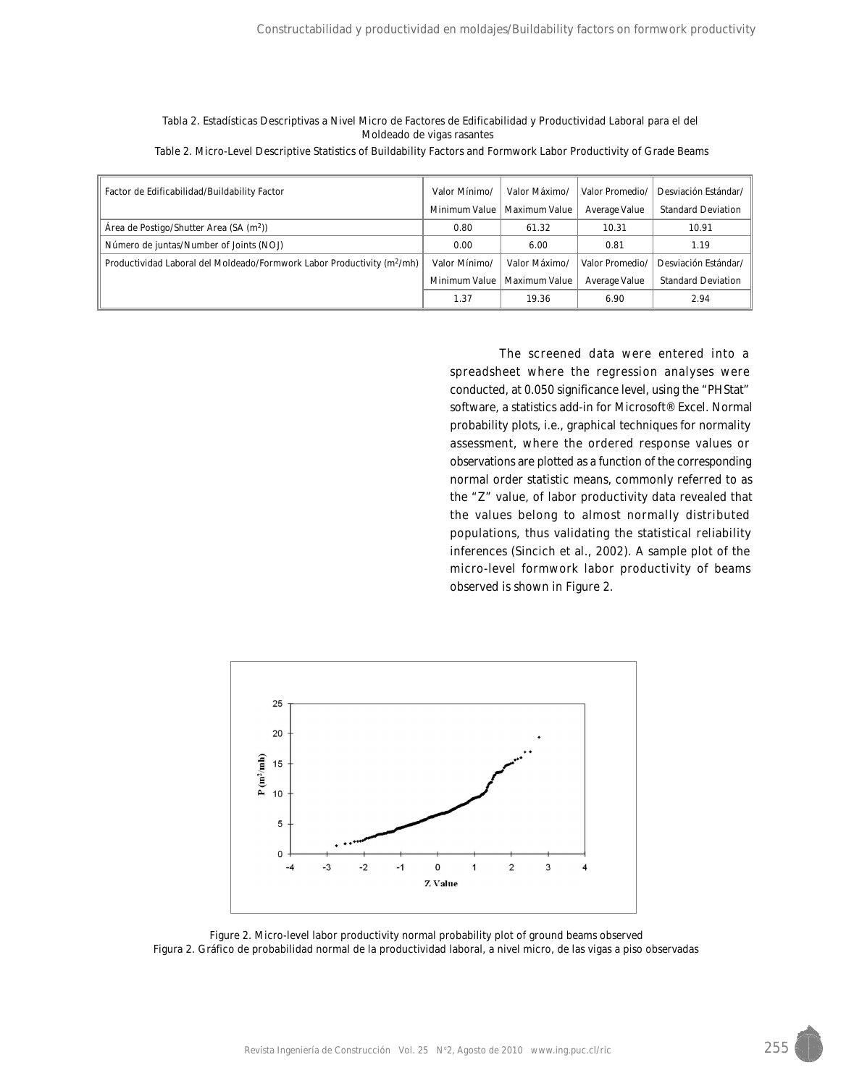| Factor de Edificabilidad/Buildability Factor                                        | Valor Mínimo/<br>Minimum Value | Valor Máximo/<br>Maximum Value | Valor Promedio/<br>Average Value | Desviación Estándar/<br><b>Standard Deviation</b> |
|-------------------------------------------------------------------------------------|--------------------------------|--------------------------------|----------------------------------|---------------------------------------------------|
| Área de Postigo/Shutter Area (SA $(m^2)$ )                                          | 0.80                           | 61.32                          | 10.31                            | 10.91                                             |
| Número de juntas/Number of Joints (NOJ)                                             | 0.00                           | 6.00                           | 0.81                             | 1.19                                              |
| Productividad Laboral del Moldeado/Formwork Labor Productivity (m <sup>2</sup> /mh) | Valor Mínimo/                  | Valor Máximo/                  | Valor Promedio/                  | Desviación Estándar/                              |
|                                                                                     | Minimum Value                  | Maximum Value                  | Average Value                    | <b>Standard Deviation</b>                         |
|                                                                                     | 1.37                           | 19.36                          | 6.90                             | 2.94                                              |

Tabla 2. Estadísticas Descriptivas a Nivel Micro de Factores de Edificabilidad y Productividad Laboral para el del Moldeado de vigas rasantes

Table 2. Micro-Level Descriptive Statistics of Buildability Factors and Formwork Labor Productivity of Grade Beams

The screened data were entered into a spreadsheet where the regression analyses were conducted, at 0.050 significance level, using the "PHStat" software, a statistics add-in for Microsoft® Excel. Normal probability plots, i.e., graphical techniques for normality assessment, where the ordered response values or observations are plotted as a function of the corresponding normal order statistic means, commonly referred to as the "Z" value, of labor productivity data revealed that the values belong to almost normally distributed populations, thus validating the statistical reliability inferences (Sincich et al., 2002). A sample plot of the micro-level formwork labor productivity of beams observed is shown in Figure 2.



Figure 2. Micro-level labor productivity normal probability plot of ground beams observed Figura 2. Gráfico de probabilidad normal de la productividad laboral, a nivel micro, de las vigas a piso observadas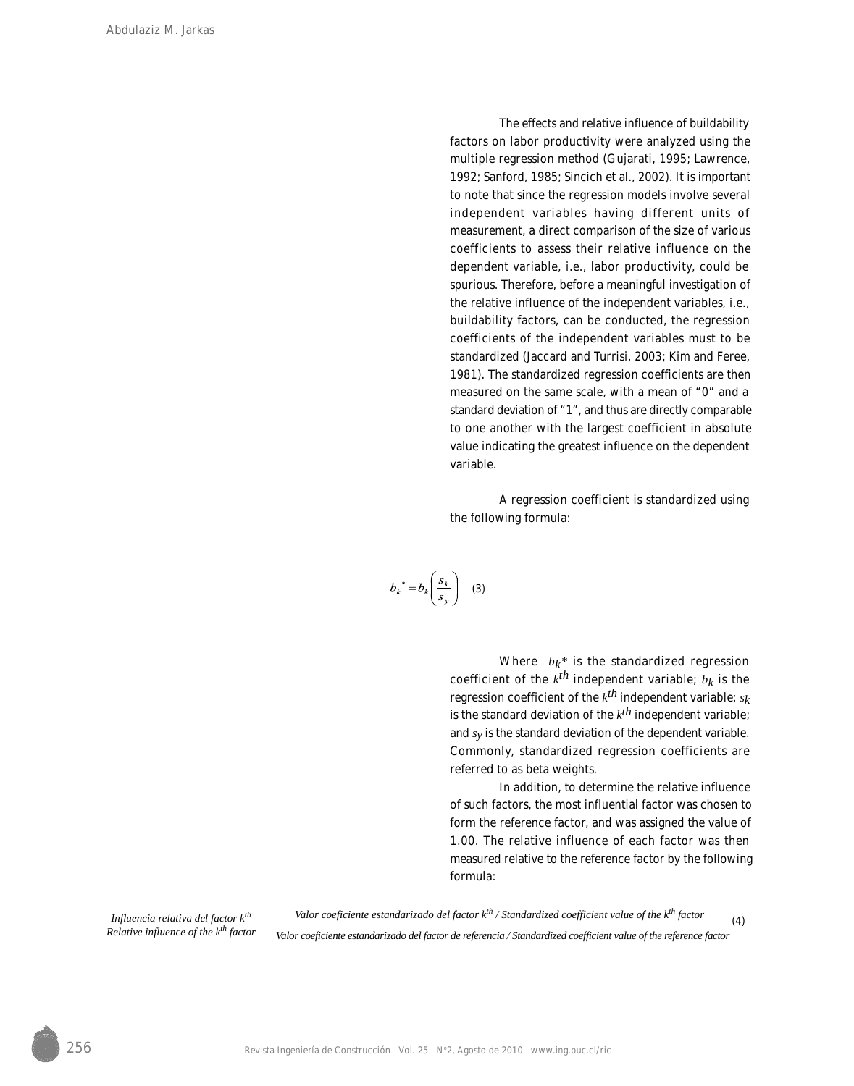The effects and relative influence of buildability factors on labor productivity were analyzed using the multiple regression method (Gujarati, 1995; Lawrence, 1992; Sanford, 1985; Sincich et al., 2002). It is important to note that since the regression models involve several independent variables having different units of measurement, a direct comparison of the size of various coefficients to assess their relative influence on the dependent variable, i.e., labor productivity, could be spurious. Therefore, before a meaningful investigation of the relative influence of the independent variables, i.e., buildability factors, can be conducted, the regression coefficients of the independent variables must to be standardized (Jaccard and Turrisi, 2003; Kim and Feree, 1981). The standardized regression coefficients are then measured on the same scale, with a mean of "0" and a standard deviation of "1", and thus are directly comparable to one another with the largest coefficient in absolute value indicating the greatest influence on the dependent variable.

A regression coefficient is standardized using the following formula:

$$
b_k^* = b_k \left(\frac{s_k}{s_{y}}\right) \quad (3)
$$

Where  $b_k^*$  is the standardized regression coefficient of the  $k^{th}$  independent variable;  $b_k$  is the regression coefficient of the *k th* independent variable; *sk* is the standard deviation of the *k th* independent variable; and *sy* is the standard deviation of the dependent variable. Commonly, standardized regression coefficients are referred to as beta weights.

In addition, to determine the relative influence of such factors, the most influential factor was chosen to form the reference factor, and was assigned the value of 1.00. The relative influence of each factor was then measured relative to the reference factor by the following formula:

*Influencia relativa del factor kth Relative influence of the kth factor <sup>=</sup>* (4) *Valor coeficiente estandarizado del factor kth / Standardized coefficient value of the kth factor*

*Valor coeficiente estandarizado del factor de referencia / Standardized coefficient value of the reference factor*

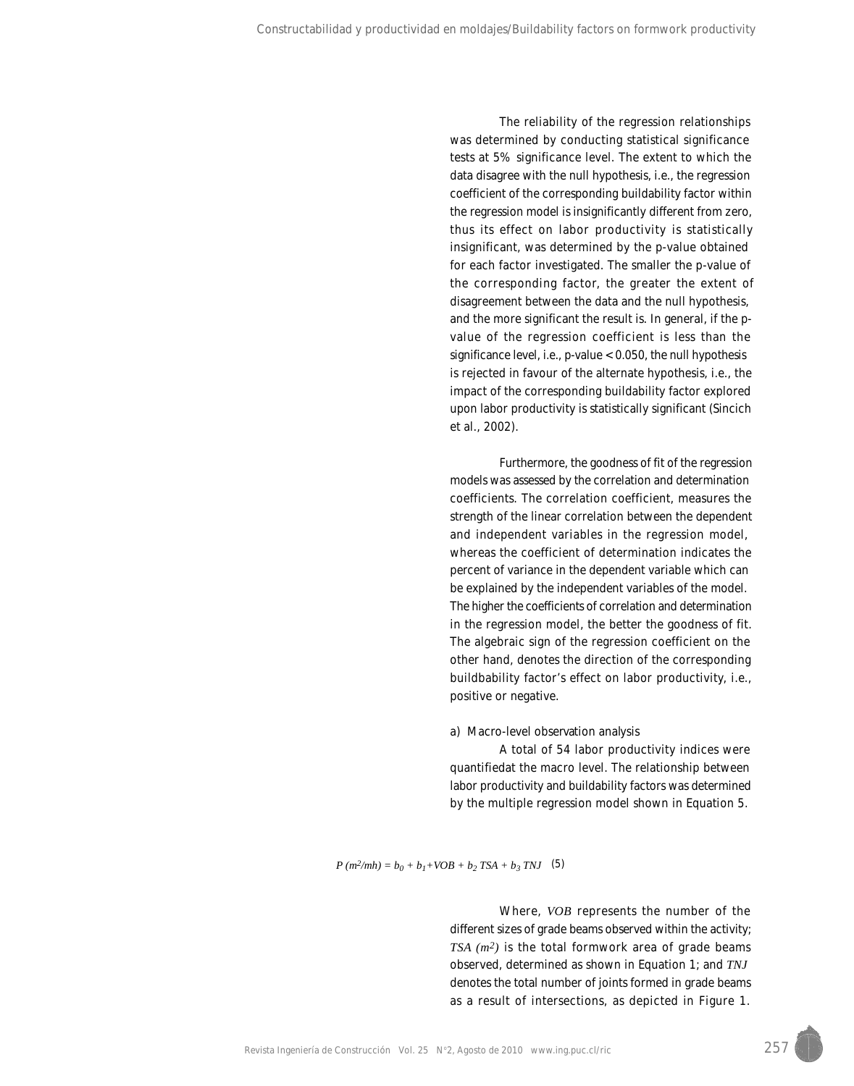The reliability of the regression relationships was determined by conducting statistical significance tests at 5% significance level. The extent to which the data disagree with the null hypothesis, i.e., the regression coefficient of the corresponding buildability factor within the regression model is insignificantly different from zero, thus its effect on labor productivity is statistically insignificant, was determined by the p-value obtained for each factor investigated. The smaller the p-value of the corresponding factor, the greater the extent of disagreement between the data and the null hypothesis, and the more significant the result is. In general, if the pvalue of the regression coefficient is less than the significance level, i.e., p-value < 0.050, the null hypothesis is rejected in favour of the alternate hypothesis, i.e., the impact of the corresponding buildability factor explored upon labor productivity is statistically significant (Sincich et al., 2002).

Furthermore, the goodness of fit of the regression models was assessed by the correlation and determination coefficients. The correlation coefficient, measures the strength of the linear correlation between the dependent and independent variables in the regression model, whereas the coefficient of determination indicates the percent of variance in the dependent variable which can be explained by the independent variables of the model. The higher the coefficients of correlation and determination in the regression model, the better the goodness of fit. The algebraic sign of the regression coefficient on the other hand, denotes the direction of the corresponding buildbability factor's effect on labor productivity, i.e., positive or negative.

a) Macro-level observation analysis

A total of 54 labor productivity indices were quantifiedat the macro level. The relationship between labor productivity and buildability factors was determined by the multiple regression model shown in Equation 5.

 $P(m^2/mh) = b_0 + b_1 + VOB + b_2 TSA + b_3 TNJ$  (5)

Where, *VOB* represents the number of the different sizes of grade beams observed within the activity; *TSA (m2)* is the total formwork area of grade beams observed, determined as shown in Equation 1; and *TNJ* denotes the total number of joints formed in grade beams as a result of intersections, as depicted in Figure 1.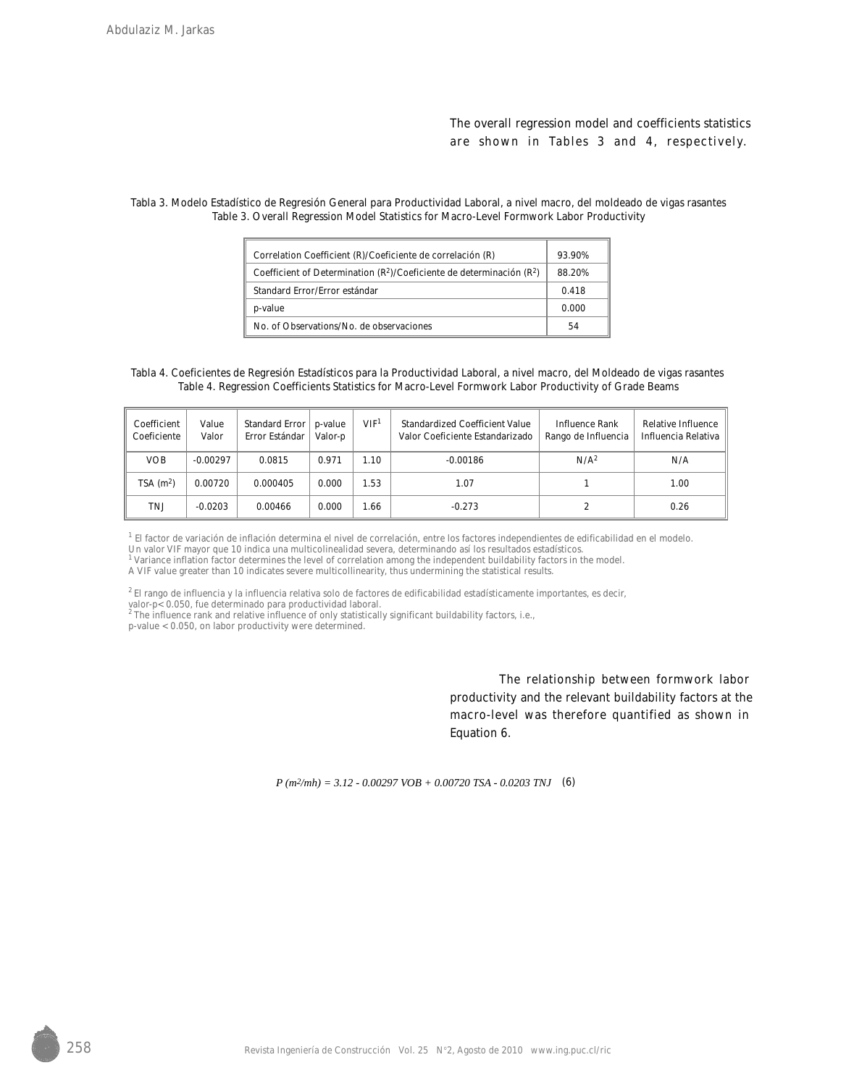The overall regression model and coefficients statistics are shown in Tables 3 and 4, respectively.

Tabla 3. Modelo Estadístico de Regresión General para Productividad Laboral, a nivel macro, del moldeado de vigas rasantes Table 3. Overall Regression Model Statistics for Macro-Level Formwork Labor Productivity

| Correlation Coefficient (R)/Coeficiente de correlación (R)                                   | 93.90% |
|----------------------------------------------------------------------------------------------|--------|
| Coefficient of Determination $(\mathbb{R}^2)$ /Coeficiente de determinación $(\mathbb{R}^2)$ | 88 20% |
| Standard Error/Error estándar                                                                | 0.418  |
| p-value                                                                                      | 0.000  |
| No. of Observations/No. de observaciones                                                     | 54     |

Tabla 4. Coeficientes de Regresión Estadísticos para la Productividad Laboral, a nivel macro, del Moldeado de vigas rasantes Table 4. Regression Coefficients Statistics for Macro-Level Formwork Labor Productivity of Grade Beams

| Coefficient<br>Coeficiente | Value<br>Valor | Standard Error<br>Error Estándar | p-value<br>Valor-p | VIF <sup>1</sup> | Standardized Coefficient Value<br>Valor Coeficiente Estandarizado | Influence Rank<br>Rango de Influencia | Relative Influence<br>Influencia Relativa |
|----------------------------|----------------|----------------------------------|--------------------|------------------|-------------------------------------------------------------------|---------------------------------------|-------------------------------------------|
| <b>VOB</b>                 | $-0.00297$     | 0.0815                           | 0.971              | 1.10             | $-0.00186$                                                        | N/A <sup>2</sup>                      | N/A                                       |
| TSA $(m2)$                 | 0.00720        | 0.000405                         | 0.000              | 1.53             | 1.07                                                              |                                       | 1.00                                      |
| TNJ                        | $-0.0203$      | 0.00466                          | 0.000              | 1.66             | $-0.273$                                                          |                                       | 0.26                                      |

<sup>1</sup> El factor de variación de inflación determina el nivel de correlación, entre los factores independientes de edificabilidad en el modelo.

Un valor VIF mayor que 10 indica una multicolinealidad severa, determinando así los resultados estadísticos.  $<sup>1</sup>$  Variance inflation factor determines the level of correlation among the independent buildability factors in the model.</sup>

A VIF value greater than 10 indicates severe multicollinearity, thus undermining the statistical results.

<sup>2</sup>El rango de influencia y la influencia relativa solo de factores de edificabilidad estadísticamente importantes, es decir,

valor-p< 0.050, fue determinado para productividad laboral.<br><sup>2</sup> The influence rank and relative influence of only statistically significant buildability factors, i.e.,

p-value < 0.050, on labor productivity were determined.

The relationship between formwork labor productivity and the relevant buildability factors at the macro-level was therefore quantified as shown in Equation 6.

*P (m2/mh) = 3.12 - 0.00297 VOB + 0.00720 TSA - 0.0203 TNJ* (6)

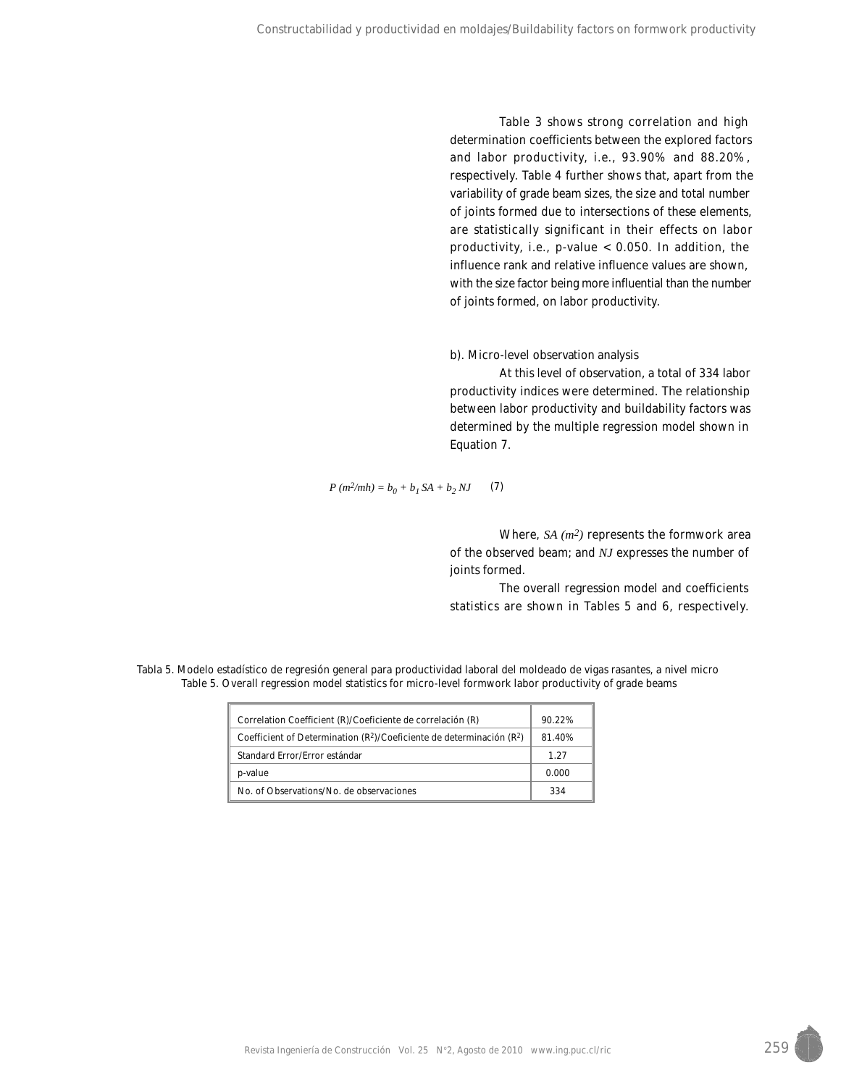Table 3 shows strong correlation and high determination coefficients between the explored factors and labor productivity, i.e., 93.90% and 88.20%, respectively. Table 4 further shows that, apart from the variability of grade beam sizes, the size and total number of joints formed due to intersections of these elements, are statistically significant in their effects on labor productivity, i.e., p-value < 0.050. In addition, the influence rank and relative influence values are shown, with the size factor being more influential than the number of joints formed, on labor productivity.

b). Micro-level observation analysis

At this level of observation, a total of 334 labor productivity indices were determined. The relationship between labor productivity and buildability factors was determined by the multiple regression model shown in Equation 7.

 $P(m^2/ml) = b_0 + b_1 SA + b_2 NJ$  (7)

Where, *SA (m2)* represents the formwork area of the observed beam; and *NJ* expresses the number of joints formed.

The overall regression model and coefficients statistics are shown in Tables 5 and 6, respectively.

Tabla 5. Modelo estadístico de regresión general para productividad laboral del moldeado de vigas rasantes, a nivel micro Table 5. Overall regression model statistics for micro-level formwork labor productivity of grade beams

| Correlation Coefficient (R)/Coeficiente de correlación (R)                 | 90.22% |
|----------------------------------------------------------------------------|--------|
| Coefficient of Determination $(R^2)/C$ oeficiente de determinación $(R^2)$ | 81.40% |
| Standard Error/Error estándar                                              | 127    |
| p-value                                                                    | 0.000  |
| No. of Observations/No. de observaciones                                   | 334    |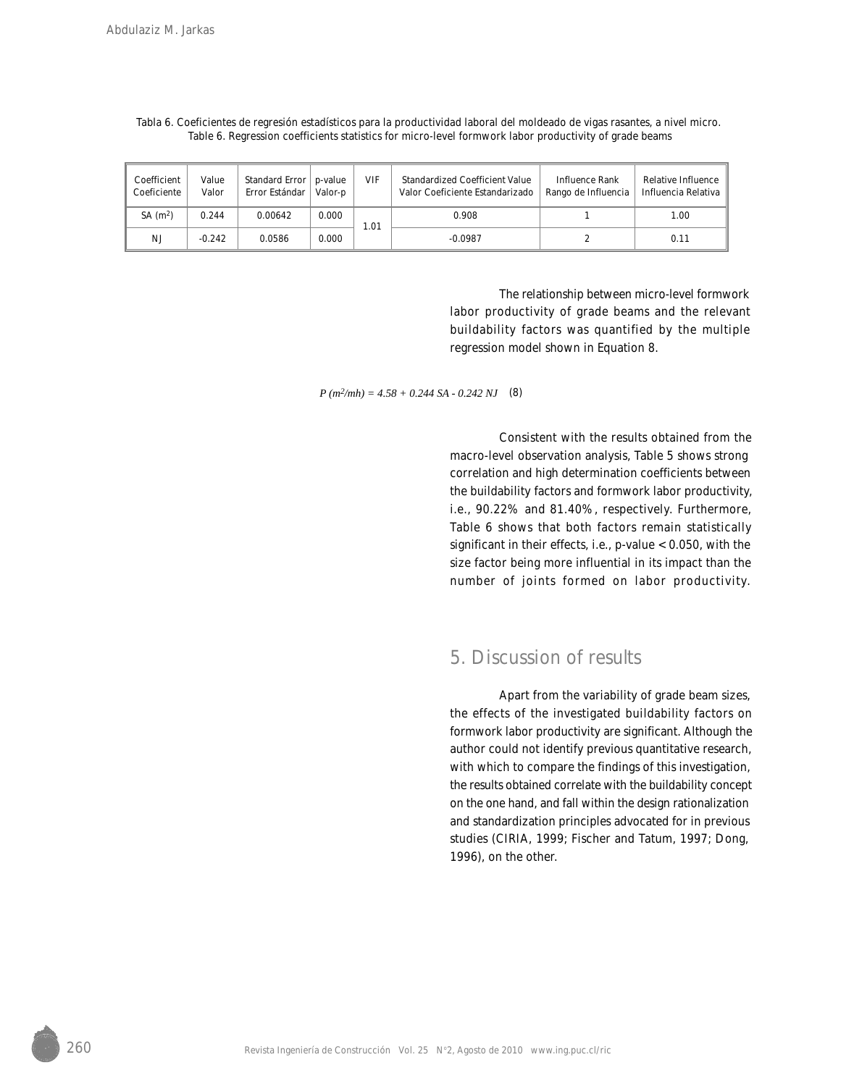| Coefficient<br>Coeficiente | Value<br>Valor | Standard Error<br>Error Estándar | p-value<br>Valor-p | <b>VIF</b> | <b>Standardized Coefficient Value</b><br>Valor Coeficiente Estandarizado | Influence Rank<br>Rango de Influencia | Relative Influence<br>Influencia Relativa |
|----------------------------|----------------|----------------------------------|--------------------|------------|--------------------------------------------------------------------------|---------------------------------------|-------------------------------------------|
| $SA(m^2)$                  | 0.244          | 0.00642                          | 0.000              | 1.01       | 0.908                                                                    |                                       | 1.00                                      |
| NJ                         | $-0.242$       | 0.0586                           | 0.000              |            | $-0.0987$                                                                |                                       | 0.11                                      |

Tabla 6. Coeficientes de regresión estadísticos para la productividad laboral del moldeado de vigas rasantes, a nivel micro. Table 6. Regression coefficients statistics for micro-level formwork labor productivity of grade beams

> The relationship between micro-level formwork labor productivity of grade beams and the relevant buildability factors was quantified by the multiple regression model shown in Equation 8.

 $P(m^2/mh) = 4.58 + 0.244$  SA - 0.242 NJ (8)

Consistent with the results obtained from the macro-level observation analysis, Table 5 shows strong correlation and high determination coefficients between the buildability factors and formwork labor productivity, i.e., 90.22% and 81.40%, respectively. Furthermore, Table 6 shows that both factors remain statistically significant in their effects, i.e., p-value < 0.050, with the size factor being more influential in its impact than the number of joints formed on labor productivity.

5. Discussion of results

Apart from the variability of grade beam sizes, the effects of the investigated buildability factors on formwork labor productivity are significant. Although the author could not identify previous quantitative research, with which to compare the findings of this investigation, the results obtained correlate with the buildability concept on the one hand, and fall within the design rationalization and standardization principles advocated for in previous studies (CIRIA, 1999; Fischer and Tatum, 1997; Dong, 1996), on the other.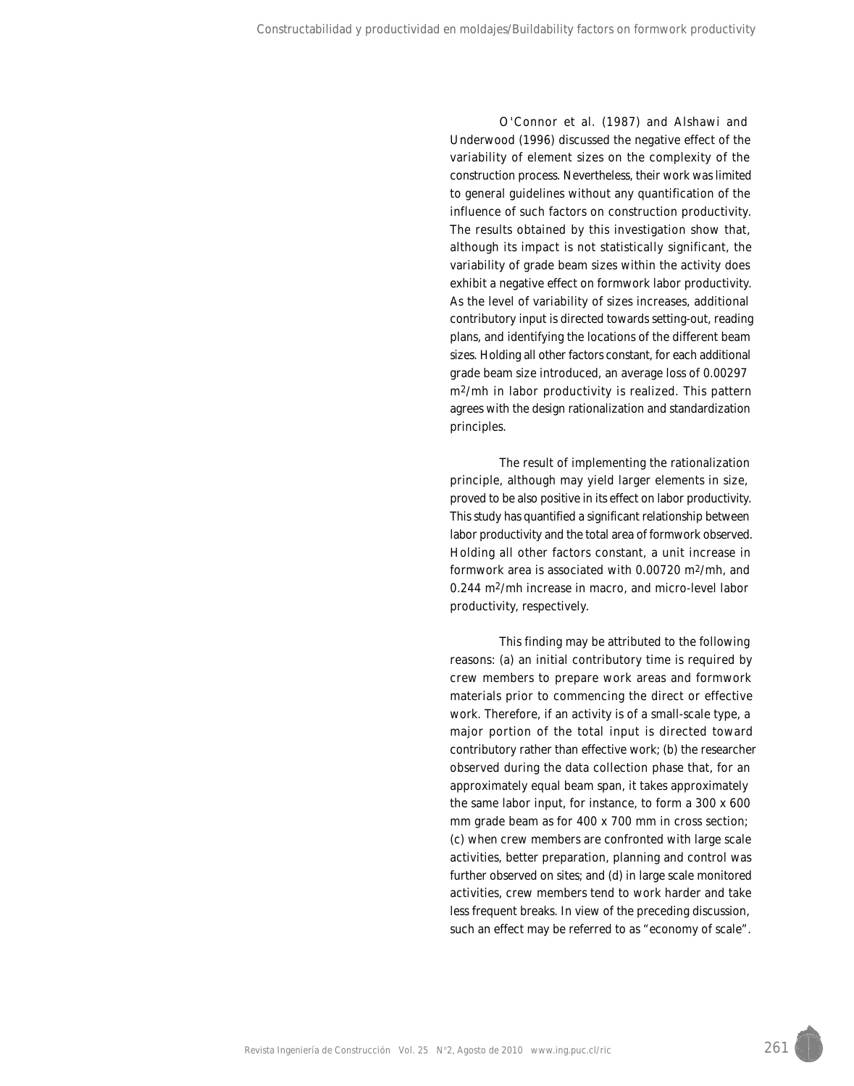O'Connor et al. (1987) and Alshawi and Underwood (1996) discussed the negative effect of the variability of element sizes on the complexity of the construction process. Nevertheless, their work was limited to general guidelines without any quantification of the influence of such factors on construction productivity. The results obtained by this investigation show that, although its impact is not statistically significant, the variability of grade beam sizes within the activity does exhibit a negative effect on formwork labor productivity. As the level of variability of sizes increases, additional contributory input is directed towards setting-out, reading plans, and identifying the locations of the different beam sizes. Holding all other factors constant, for each additional grade beam size introduced, an average loss of 0.00297 m2/mh in labor productivity is realized. This pattern agrees with the design rationalization and standardization principles.

The result of implementing the rationalization principle, although may yield larger elements in size, proved to be also positive in its effect on labor productivity. This study has quantified a significant relationship between labor productivity and the total area of formwork observed. Holding all other factors constant, a unit increase in formwork area is associated with 0.00720 m2/mh, and 0.244 m2/mh increase in macro, and micro-level labor productivity, respectively.

This finding may be attributed to the following reasons: (a) an initial contributory time is required by crew members to prepare work areas and formwork materials prior to commencing the direct or effective work. Therefore, if an activity is of a small-scale type, a major portion of the total input is directed toward contributory rather than effective work; (b) the researcher observed during the data collection phase that, for an approximately equal beam span, it takes approximately the same labor input, for instance, to form a 300 x 600 mm grade beam as for 400 x 700 mm in cross section; (c) when crew members are confronted with large scale activities, better preparation, planning and control was further observed on sites; and (d) in large scale monitored activities, crew members tend to work harder and take less frequent breaks. In view of the preceding discussion, such an effect may be referred to as "economy of scale".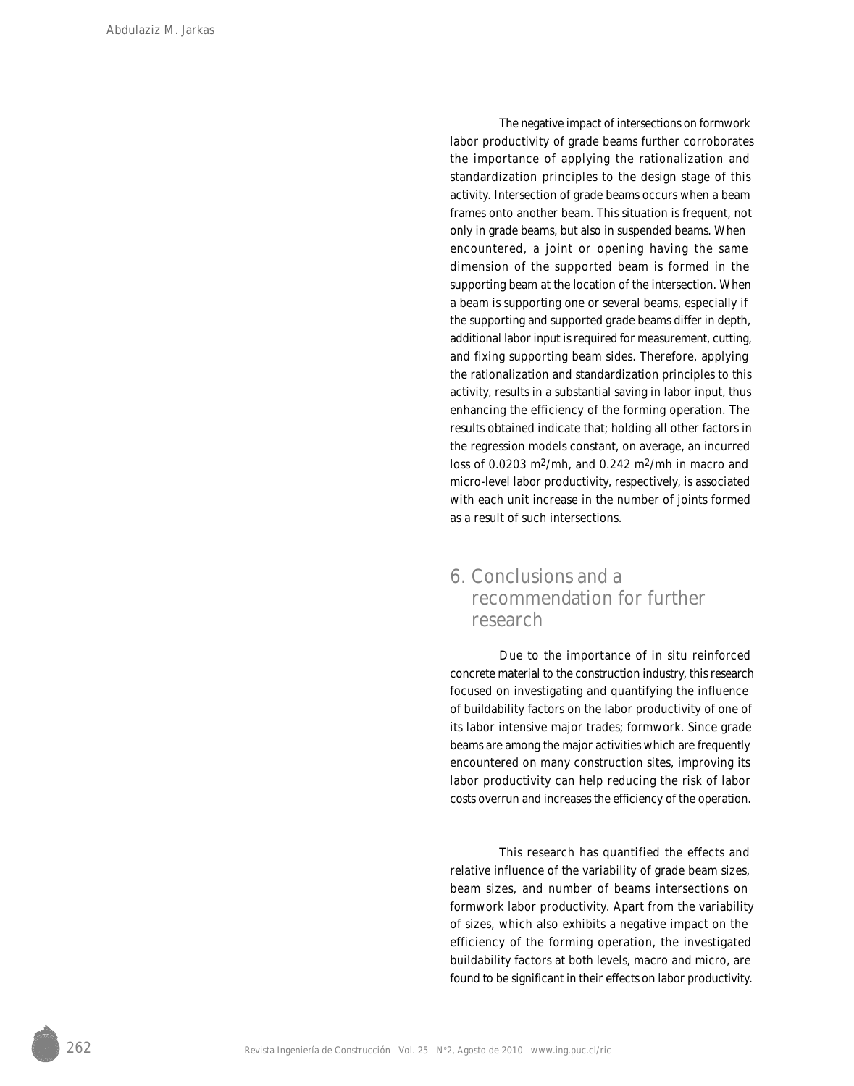The negative impact of intersections on formwork labor productivity of grade beams further corroborates the importance of applying the rationalization and standardization principles to the design stage of this activity. Intersection of grade beams occurs when a beam frames onto another beam. This situation is frequent, not only in grade beams, but also in suspended beams. When encountered, a joint or opening having the same dimension of the supported beam is formed in the supporting beam at the location of the intersection. When a beam is supporting one or several beams, especially if the supporting and supported grade beams differ in depth, additional labor input is required for measurement, cutting, and fixing supporting beam sides. Therefore, applying the rationalization and standardization principles to this activity, results in a substantial saving in labor input, thus enhancing the efficiency of the forming operation. The results obtained indicate that; holding all other factors in the regression models constant, on average, an incurred loss of 0.0203 m<sup>2</sup>/mh, and 0.242 m<sup>2</sup>/mh in macro and micro-level labor productivity, respectively, is associated with each unit increase in the number of joints formed as a result of such intersections.

## 6. Conclusions and a recommendation for further research

Due to the importance of in situ reinforced concrete material to the construction industry, this research focused on investigating and quantifying the influence of buildability factors on the labor productivity of one of its labor intensive major trades; formwork. Since grade beams are among the major activities which are frequently encountered on many construction sites, improving its labor productivity can help reducing the risk of labor costs overrun and increases the efficiency of the operation.

This research has quantified the effects and relative influence of the variability of grade beam sizes, beam sizes, and number of beams intersections on formwork labor productivity. Apart from the variability of sizes, which also exhibits a negative impact on the efficiency of the forming operation, the investigated buildability factors at both levels, macro and micro, are found to be significant in their effects on labor productivity.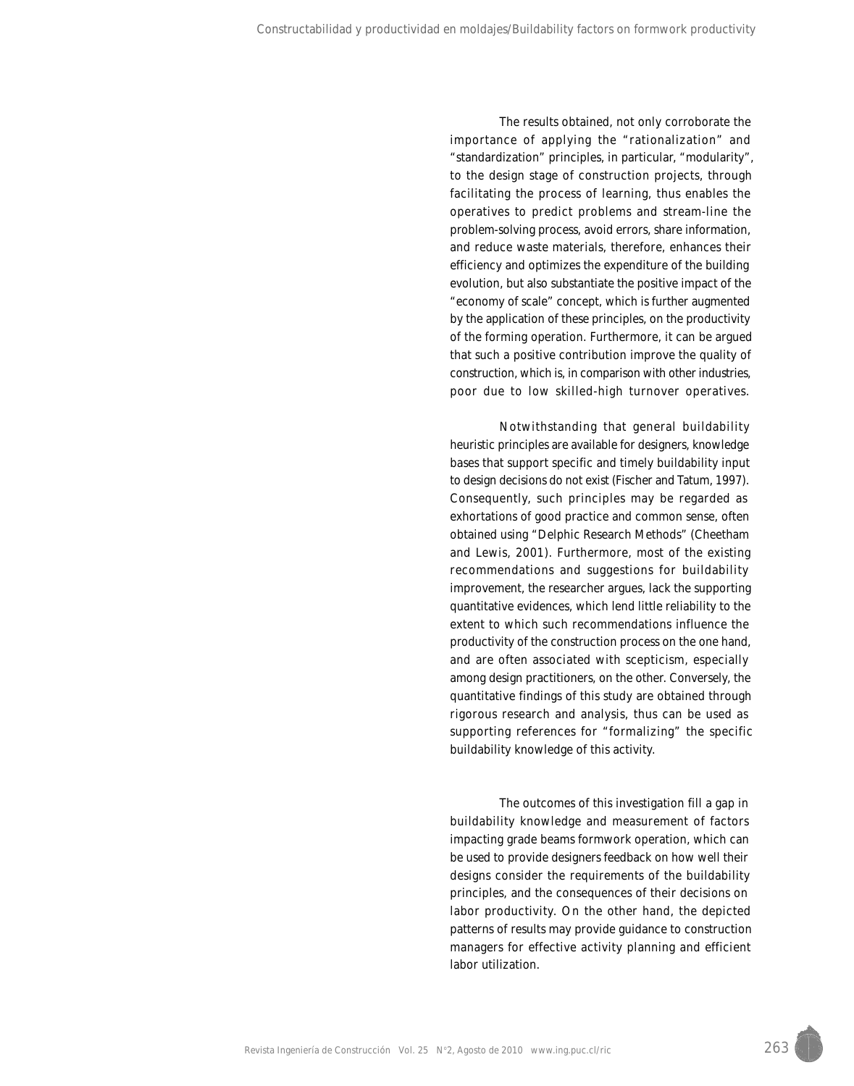The results obtained, not only corroborate the importance of applying the "rationalization" and "standardization" principles, in particular, "modularity", to the design stage of construction projects, through facilitating the process of learning, thus enables the operatives to predict problems and stream-line the problem-solving process, avoid errors, share information, and reduce waste materials, therefore, enhances their efficiency and optimizes the expenditure of the building evolution, but also substantiate the positive impact of the "economy of scale" concept, which is further augmented by the application of these principles, on the productivity of the forming operation. Furthermore, it can be argued that such a positive contribution improve the quality of construction, which is, in comparison with other industries, poor due to low skilled-high turnover operatives.

Notwithstanding that general buildability heuristic principles are available for designers, knowledge bases that support specific and timely buildability input to design decisions do not exist (Fischer and Tatum, 1997). Consequently, such principles may be regarded as exhortations of good practice and common sense, often obtained using "Delphic Research Methods" (Cheetham and Lewis, 2001). Furthermore, most of the existing recommendations and suggestions for buildability improvement, the researcher argues, lack the supporting quantitative evidences, which lend little reliability to the extent to which such recommendations influence the productivity of the construction process on the one hand, and are often associated with scepticism, especially among design practitioners, on the other. Conversely, the quantitative findings of this study are obtained through rigorous research and analysis, thus can be used as supporting references for "formalizing" the specific buildability knowledge of this activity.

The outcomes of this investigation fill a gap in buildability knowledge and measurement of factors impacting grade beams formwork operation, which can be used to provide designers feedback on how well their designs consider the requirements of the buildability principles, and the consequences of their decisions on labor productivity. On the other hand, the depicted patterns of results may provide guidance to construction managers for effective activity planning and efficient labor utilization.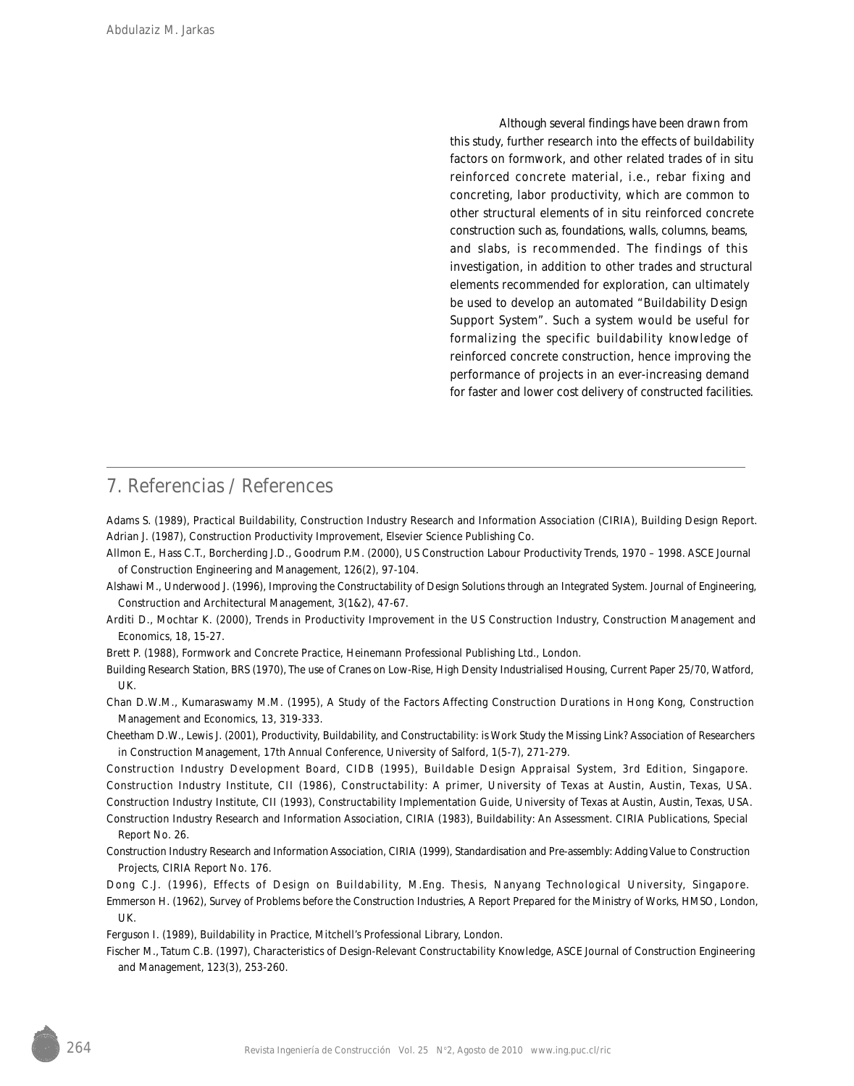Although several findings have been drawn from this study, further research into the effects of buildability factors on formwork, and other related trades of in situ reinforced concrete material, i.e., rebar fixing and concreting, labor productivity, which are common to other structural elements of in situ reinforced concrete construction such as, foundations, walls, columns, beams, and slabs, is recommended. The findings of this investigation, in addition to other trades and structural elements recommended for exploration, can ultimately be used to develop an automated "Buildability Design Support System". Such a system would be useful for formalizing the specific buildability knowledge of reinforced concrete construction, hence improving the performance of projects in an ever-increasing demand for faster and lower cost delivery of constructed facilities.

#### 7. Referencias / References

Adams S. (1989), Practical Buildability, Construction Industry Research and Information Association (CIRIA), Building Design Report. Adrian J. (1987), Construction Productivity Improvement, Elsevier Science Publishing Co.

Allmon E., Hass C.T., Borcherding J.D., Goodrum P.M. (2000), US Construction Labour Productivity Trends, 1970 – 1998. ASCE Journal of Construction Engineering and Management, 126(2), 97-104.

Alshawi M., Underwood J. (1996), Improving the Constructability of Design Solutions through an Integrated System. Journal of Engineering, Construction and Architectural Management, 3(1&2), 47-67.

Arditi D., Mochtar K. (2000), Trends in Productivity Improvement in the US Construction Industry, Construction Management and Economics, 18, 15-27.

Brett P. (1988), Formwork and Concrete Practice, Heinemann Professional Publishing Ltd., London.

Building Research Station, BRS (1970), The use of Cranes on Low-Rise, High Density Industrialised Housing, Current Paper 25/70, Watford, UK.

Chan D.W.M., Kumaraswamy M.M. (1995), A Study of the Factors Affecting Construction Durations in Hong Kong, Construction Management and Economics, 13, 319-333.

Cheetham D.W., Lewis J. (2001), Productivity, Buildability, and Constructability: is Work Study the Missing Link? Association of Researchers in Construction Management, 17th Annual Conference, University of Salford, 1(5-7), 271-279.

Construction Industry Development Board, CIDB (1995), Buildable Design Appraisal System, 3rd Edition, Singapore. Construction Industry Institute, CII (1986), Constructability: A primer, University of Texas at Austin, Austin, Texas, USA. Construction Industry Institute, CII (1993), Constructability Implementation Guide, University of Texas at Austin, Austin, Texas, USA.

Construction Industry Research and Information Association, CIRIA (1983), Buildability: An Assessment. CIRIA Publications, Special Report No. 26.

Construction Industry Research and Information Association, CIRIA (1999), Standardisation and Pre-assembly: Adding Value to Construction Projects, CIRIA Report No. 176.

Dong C.J. (1996), Effects of Design on Buildability, M.Eng. Thesis, Nanyang Technological University, Singapore.

Emmerson H. (1962), Survey of Problems before the Construction Industries, A Report Prepared for the Ministry of Works, HMSO, London, UK.

Ferguson I. (1989), Buildability in Practice, Mitchell's Professional Library, London.

Fischer M., Tatum C.B. (1997), Characteristics of Design-Relevant Constructability Knowledge, ASCE Journal of Construction Engineering and Management, 123(3), 253-260.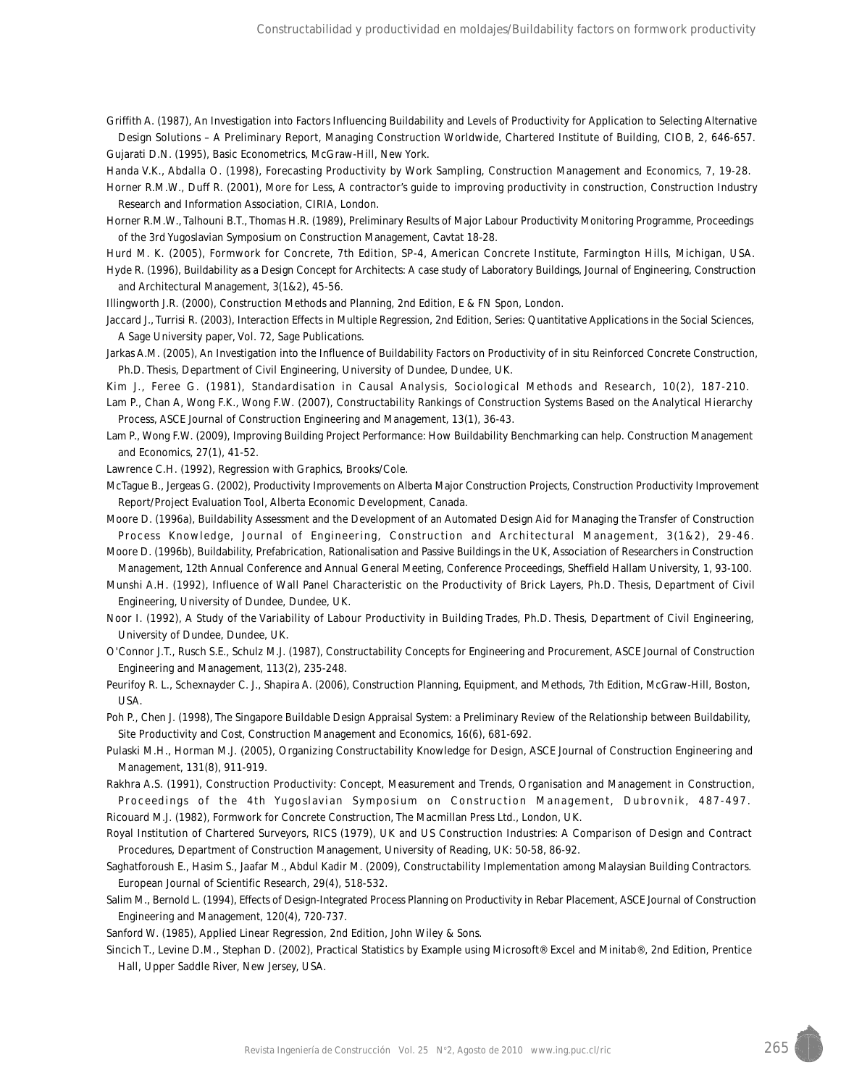Griffith A. (1987), An Investigation into Factors Influencing Buildability and Levels of Productivity for Application to Selecting Alternative Design Solutions – A Preliminary Report, Managing Construction Worldwide, Chartered Institute of Building, CIOB, 2, 646-657. Gujarati D.N. (1995), Basic Econometrics, McGraw-Hill, New York.

Handa V.K., Abdalla O. (1998), Forecasting Productivity by Work Sampling, Construction Management and Economics, 7, 19-28.

- Horner R.M.W., Duff R. (2001), More for Less, A contractor's guide to improving productivity in construction, Construction Industry Research and Information Association, CIRIA, London.
- Horner R.M.W., Talhouni B.T., Thomas H.R. (1989), Preliminary Results of Major Labour Productivity Monitoring Programme, Proceedings of the 3rd Yugoslavian Symposium on Construction Management, Cavtat 18-28.
- Hurd M. K. (2005), Formwork for Concrete, 7th Edition, SP-4, American Concrete Institute, Farmington Hills, Michigan, USA.
- Hyde R. (1996), Buildability as a Design Concept for Architects: A case study of Laboratory Buildings, Journal of Engineering, Construction and Architectural Management, 3(1&2), 45-56.

Illingworth J.R. (2000), Construction Methods and Planning, 2nd Edition, E & FN Spon, London.

Jaccard J., Turrisi R. (2003), Interaction Effects in Multiple Regression, 2nd Edition, Series: Quantitative Applications in the Social Sciences, A Sage University paper, Vol. 72, Sage Publications.

Jarkas A.M. (2005), An Investigation into the Influence of Buildability Factors on Productivity of in situ Reinforced Concrete Construction, Ph.D. Thesis, Department of Civil Engineering, University of Dundee, Dundee, UK.

Kim J., Feree G. (1981), Standardisation in Causal Analysis, Sociological Methods and Research, 10(2), 187-210.

- Lam P., Chan A, Wong F.K., Wong F.W. (2007), Constructability Rankings of Construction Systems Based on the Analytical Hierarchy Process, ASCE Journal of Construction Engineering and Management, 13(1), 36-43.
- Lam P., Wong F.W. (2009), Improving Building Project Performance: How Buildability Benchmarking can help. Construction Management and Economics, 27(1), 41-52.

Lawrence C.H. (1992), Regression with Graphics, Brooks/Cole.

- McTague B., Jergeas G. (2002), Productivity Improvements on Alberta Major Construction Projects, Construction Productivity Improvement Report/Project Evaluation Tool, Alberta Economic Development, Canada.
- Moore D. (1996a), Buildability Assessment and the Development of an Automated Design Aid for Managing the Transfer of Construction Process Knowledge, Journal of Engineering, Construction and Architectural Management, 3(1&2), 29-46.
- Moore D. (1996b), Buildability, Prefabrication, Rationalisation and Passive Buildings in the UK, Association of Researchers in Construction Management, 12th Annual Conference and Annual General Meeting, Conference Proceedings, Sheffield Hallam University, 1, 93-100.
- Munshi A.H. (1992), Influence of Wall Panel Characteristic on the Productivity of Brick Layers, Ph.D. Thesis, Department of Civil Engineering, University of Dundee, Dundee, UK.
- Noor I. (1992), A Study of the Variability of Labour Productivity in Building Trades, Ph.D. Thesis, Department of Civil Engineering, University of Dundee, Dundee, UK.
- O'Connor J.T., Rusch S.E., Schulz M.J. (1987), Constructability Concepts for Engineering and Procurement, ASCE Journal of Construction Engineering and Management, 113(2), 235-248.

Peurifoy R. L., Schexnayder C. J., Shapira A. (2006), Construction Planning, Equipment, and Methods, 7th Edition, McGraw-Hill, Boston, **USA** 

Poh P., Chen J. (1998), The Singapore Buildable Design Appraisal System: a Preliminary Review of the Relationship between Buildability, Site Productivity and Cost, Construction Management and Economics, 16(6), 681-692.

Pulaski M.H., Horman M.J. (2005), Organizing Constructability Knowledge for Design, ASCE Journal of Construction Engineering and Management, 131(8), 911-919.

Rakhra A.S. (1991), Construction Productivity: Concept, Measurement and Trends, Organisation and Management in Construction, Proceedings of the 4th Yugoslavian Symposium on Construction Management, Dubrovnik, 487-497.

Ricouard M.J. (1982), Formwork for Concrete Construction, The Macmillan Press Ltd., London, UK.

Royal Institution of Chartered Surveyors, RICS (1979), UK and US Construction Industries: A Comparison of Design and Contract Procedures, Department of Construction Management, University of Reading, UK: 50-58, 86-92.

Saghatforoush E., Hasim S., Jaafar M., Abdul Kadir M. (2009), Constructability Implementation among Malaysian Building Contractors. European Journal of Scientific Research, 29(4), 518-532.

Salim M., Bernold L. (1994), Effects of Design-Integrated Process Planning on Productivity in Rebar Placement, ASCE Journal of Construction Engineering and Management, 120(4), 720-737.

Sanford W. (1985), Applied Linear Regression, 2nd Edition, John Wiley & Sons.

Sincich T., Levine D.M., Stephan D. (2002), Practical Statistics by Example using Microsoft® Excel and Minitab®, 2nd Edition, Prentice Hall, Upper Saddle River, New Jersey, USA.